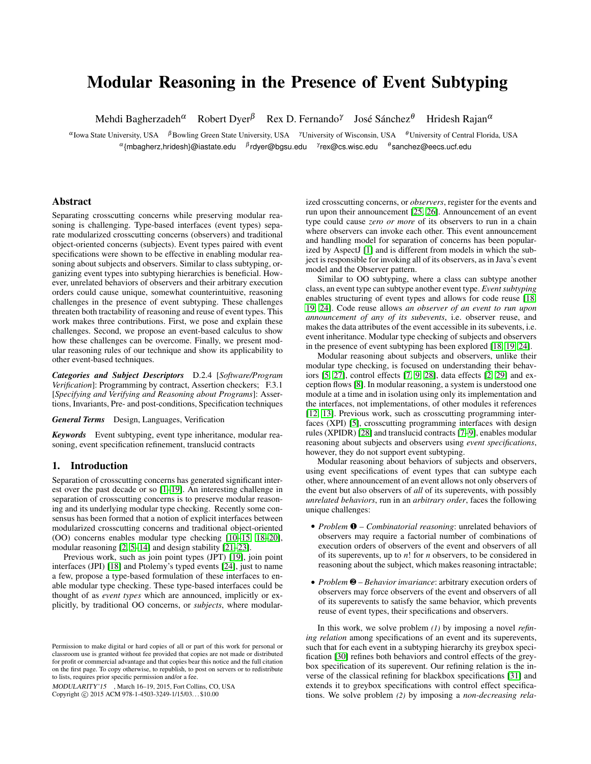# Modular Reasoning in the Presence of Event Subtyping

Mehdi Bagherzadeh<sup> $\alpha$ </sup> Robert Dyer $\beta$ Rex D. Fernando<sup> $\gamma$ </sup> José Sánchez<sup> $\theta$ </sup> Hridesh Rajan<sup> $\alpha$ </sup>

 $\alpha$ Iowa State University, USA  $\beta$ Bowling Green State University, USA  $\gamma$ University of Wisconsin, USA  $\beta$ University of Central Florida, USA <sup>α</sup>{mbagherz,hridesh}@iastate.edu <sup>β</sup>rdyer@bgsu.edu <sup>γ</sup>rex@cs.wisc.edu θsanchez@eecs.ucf.edu

# Abstract

Separating crosscutting concerns while preserving modular reasoning is challenging. Type-based interfaces (event types) separate modularized crosscutting concerns (observers) and traditional object-oriented concerns (subjects). Event types paired with event specifications were shown to be effective in enabling modular reasoning about subjects and observers. Similar to class subtyping, organizing event types into subtyping hierarchies is beneficial. However, unrelated behaviors of observers and their arbitrary execution orders could cause unique, somewhat counterintuitive, reasoning challenges in the presence of event subtyping. These challenges threaten both tractability of reasoning and reuse of event types. This work makes three contributions. First, we pose and explain these challenges. Second, we propose an event-based calculus to show how these challenges can be overcome. Finally, we present modular reasoning rules of our technique and show its applicability to other event-based techniques.

*Categories and Subject Descriptors* D.2.4 [*Software/Program Verification*]: Programming by contract, Assertion checkers; F.3.1 [*Specifying and Verifying and Reasoning about Programs*]: Assertions, Invariants, Pre- and post-conditions, Specification techniques

*General Terms* Design, Languages, Verification

*Keywords* Event subtyping, event type inheritance, modular reasoning, event specification refinement, translucid contracts

## <span id="page-0-0"></span>1. Introduction

Separation of crosscutting concerns has generated significant interest over the past decade or so [\[1](#page-12-0)[–19\]](#page-12-1). An interesting challenge in separation of crosscutting concerns is to preserve modular reasoning and its underlying modular type checking. Recently some consensus has been formed that a notion of explicit interfaces between modularized crosscutting concerns and traditional object-oriented (OO) concerns enables modular type checking [\[10–](#page-12-2)[15,](#page-12-3) [18](#page-12-4)[–20\]](#page-12-5), modular reasoning [\[2,](#page-12-6) [5–](#page-12-7)[14\]](#page-12-8) and design stability [\[21](#page-12-9)[–23\]](#page-12-10).

Previous work, such as join point types (JPT) [\[19\]](#page-12-1), join point interfaces (JPI) [\[18\]](#page-12-4) and Ptolemy's typed events [\[24\]](#page-12-11), just to name a few, propose a type-based formulation of these interfaces to enable modular type checking. These type-based interfaces could be thought of as *event types* which are announced, implicitly or explicitly, by traditional OO concerns, or *subjects*, where modular-

MODULARITY'15 , March 16–19, 2015, Fort Collins, CO, USA Copyright © 2015 ACM 978-1-4503-3249-1/15/03... \$10.00

ized crosscutting concerns, or *observers*, register for the events and run upon their announcement [\[25,](#page-12-12) [26\]](#page-12-13). Announcement of an event type could cause *zero or more* of its observers to run in a chain where observers can invoke each other. This event announcement and handling model for separation of concerns has been popularized by AspectJ [\[1\]](#page-12-0) and is different from models in which the subject is responsible for invoking all of its observers, as in Java's event model and the Observer pattern.

Similar to OO subtyping, where a class can subtype another class, an event type can subtype another event type. *Event subtyping* enables structuring of event types and allows for code reuse [\[18,](#page-12-4) [19,](#page-12-1) [24\]](#page-12-11). Code reuse allows *an observer of an event to run upon announcement of any of its subevents*, i.e. observer reuse, and makes the data attributes of the event accessible in its subevents, i.e. event inheritance. Modular type checking of subjects and observers in the presence of event subtyping has been explored [\[18,](#page-12-4) [19,](#page-12-1) [24\]](#page-12-11).

Modular reasoning about subjects and observers, unlike their modular type checking, is focused on understanding their behaviors [\[5,](#page-12-7) [27\]](#page-12-14), control effects [\[7,](#page-12-15) [9,](#page-12-16) [28\]](#page-12-17), data effects [\[2,](#page-12-6) [29\]](#page-12-18) and exception flows [\[8\]](#page-12-19). In modular reasoning, a system is understood one module at a time and in isolation using only its implementation and the interfaces, not implementations, of other modules it references [\[12,](#page-12-20) [13\]](#page-12-21). Previous work, such as crosscutting programming interfaces (XPI) [\[5\]](#page-12-7), crosscutting programming interfaces with design rules (XPIDR) [\[28\]](#page-12-17) and translucid contracts [\[7](#page-12-15)[–9\]](#page-12-16), enables modular reasoning about subjects and observers using *event specifications*, however, they do not support event subtyping.

Modular reasoning about behaviors of subjects and observers, using event specifications of event types that can subtype each other, where announcement of an event allows not only observers of the event but also observers of *all* of its superevents, with possibly *unrelated behaviors*, run in an *arbitrary order*, faces the following unique challenges:

- *Problem* ❶ *Combinatorial reasoning*: unrelated behaviors of observers may require a factorial number of combinations of execution orders of observers of the event and observers of all of its superevents, up to *n*! for *n* observers, to be considered in reasoning about the subject, which makes reasoning intractable;
- *Problem* ❷ *Behavior invariance*: arbitrary execution orders of observers may force observers of the event and observers of all of its superevents to satisfy the same behavior, which prevents reuse of event types, their specifications and observers.

In this work, we solve problem *(1)* by imposing a novel *refining relation* among specifications of an event and its superevents, such that for each event in a subtyping hierarchy its greybox specification [\[30\]](#page-12-22) refines both behaviors and control effects of the greybox specification of its superevent. Our refining relation is the inverse of the classical refining for blackbox specifications [\[31\]](#page-12-23) and extends it to greybox specifications with control effect specifications. We solve problem *(2)* by imposing a *non-decreasing rela-*

Permission to make digital or hard copies of all or part of this work for personal or classroom use is granted without fee provided that copies are not made or distributed for profit or commercial advantage and that copies bear this notice and the full citation on the first page. To copy otherwise, to republish, to post on servers or to redistribute to lists, requires prior specific permission and/or a fee.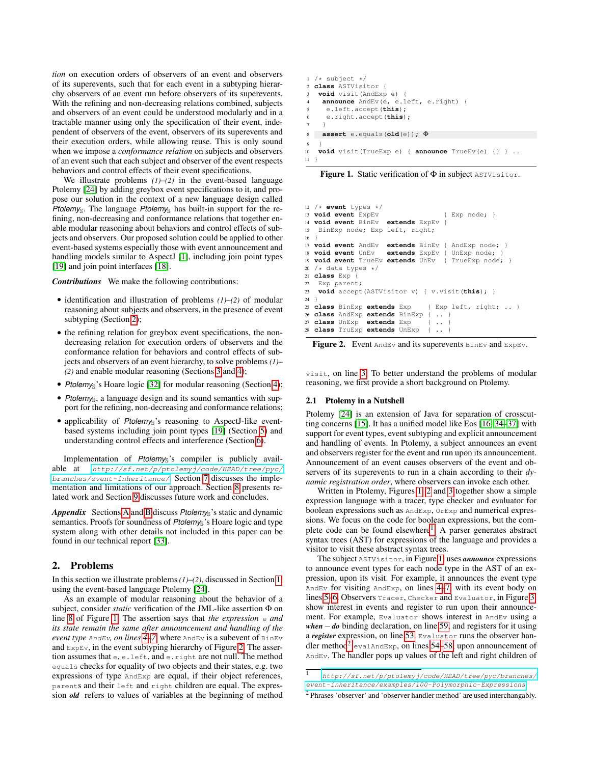*tion* on execution orders of observers of an event and observers of its superevents, such that for each event in a subtyping hierarchy observers of an event run before observers of its superevents. With the refining and non-decreasing relations combined, subjects and observers of an event could be understood modularly and in a tractable manner using only the specification of their event, independent of observers of the event, observers of its superevents and their execution orders, while allowing reuse. This is only sound when we impose a *conformance relation* on subjects and observers of an event such that each subject and observer of the event respects behaviors and control effects of their event specifications.

We illustrate problems *(1)*–*(2)* in the event-based language Ptolemy [\[24\]](#page-12-11) by adding greybox event specifications to it, and propose our solution in the context of a new language design called *Ptolemy<sub>S</sub>*. The language *Ptolemy<sub>S</sub>* has built-in support for the refining, non-decreasing and conformance relations that together enable modular reasoning about behaviors and control effects of subjects and observers. Our proposed solution could be applied to other event-based systems especially those with event announcement and handling models similar to AspectJ [\[1\]](#page-12-0), including join point types [\[19\]](#page-12-1) and join point interfaces [\[18\]](#page-12-4).

*Contributions* We make the following contributions:

- identification and illustration of problems *(1)*–*(2)* of modular reasoning about subjects and observers, in the presence of event subtyping (Section [2\)](#page-1-0);
- the refining relation for greybox event specifications, the nondecreasing relation for execution orders of observers and the conformance relation for behaviors and control effects of subjects and observers of an event hierarchy, to solve problems *(1)*– *(2)* and enable modular reasoning (Sections [3](#page-4-0) and [4\)](#page-6-0);
- *Ptolemy*<sub>S</sub>'s Hoare logic [\[32\]](#page-12-24) for modular reasoning (Section [4\)](#page-6-0);
- *Ptolemy*<sub>S</sub>, a language design and its sound semantics with support for the refining, non-decreasing and conformance relations;
- applicability of *Ptolemy*<sub>S</sub>'s reasoning to AspectJ-like eventbased systems including join point types [\[19\]](#page-12-1) (Section [5\)](#page-9-0) and understanding control effects and interference (Section [6\)](#page-10-0).

Implementation of *Ptolemy*<sub>S</sub>'s compiler is publicly available at [http://sf.net/p/ptolemyj/code/HEAD/tree/pyc/](http://sf.net/p/ptolemyj/code/HEAD/tree/pyc/branches/event-inheritance/) [branches/event-inheritance/](http://sf.net/p/ptolemyj/code/HEAD/tree/pyc/branches/event-inheritance/). Section [7](#page-11-0) discusses the implementation and limitations of our approach. Section [8](#page-11-1) presents related work and Section [9](#page-11-2) discusses future work and concludes.

*Appendix* Sections [A](#page-12-25) and [B](#page-14-0) discuss *Ptolemy*<sub>S</sub>'s static and dynamic semantics. Proofs for soundness of *Ptolemy*<sub>S</sub>'s Hoare logic and type system along with other details not included in this paper can be found in our technical report [\[33\]](#page-12-26).

# <span id="page-1-0"></span>2. Problems

In this section we illustrate problems *(1)*–*(2)*, discussed in Section [1,](#page-0-0) using the event-based language Ptolemy [\[24\]](#page-12-11).

As an example of modular reasoning about the behavior of a subject, consider *static* verification of the JML-like assertion Φ on line [8](#page-1-1) of Figure [1.](#page-1-2) The assertion says that *the expression* e *and its state remain the same after announcement and handling of the event type* AndEv*, on lines [4–](#page-1-3)[7](#page-1-4)*, where AndEv is a subevent of BinEv and  $\text{ExpEv}$ , in the event subtyping hierarchy of Figure [2.](#page-1-5) The assertion assumes that e, e.left, and e.right are not null. The method equals checks for equality of two objects and their states, e.g. two expressions of type AndExp are equal, if their object references, parents and their left and right children are equal. The expression *old* refers to values of variables at the beginning of method

```
1 / * subject */<br>2 class ASTVisi
  2 class ASTVisitor {
   3 void visit(AndExp e) {
     announce AndEv(e, e.left, e.right) {
      5 e.left.accept(this);
      6 e.right.accept(this);
 7 }
8 assert e.equals(old(e)); Φ
9 }
10 void visit(TrueExp e) { announce TrueEv(e) {} } ..
11 }
```
<span id="page-1-14"></span><span id="page-1-2"></span><span id="page-1-1"></span>Figure 1. Static verification of Φ in subject ASTVisitor.

```
12 /* event types */
13 void event ExpEv { Exp node; }<br>14 void event BinEv extends ExpEv {
14 void event BinEv extends ExpEv {
15 BinExp node; Exp left, right;
16 }
17 void event AndEv extends BinEv { AndExp node; }
                      extends ExpEv { UnExp node; }
19 void event TrueEv extends UnEv { TrueExp node; }
20 /* data types */<br>21 class Exp {
  21 class Exp {
22 Exp parent;
23 void accept(ASTVisitor v) { v.visit(this); }
24 }
25 class BinExp extends Exp { Exp left, right; .. }
26 class AndExp extends BinExp { .. }
27 class UnExp extends Exp { .. }
28 class TruExp extends UnExp { .. }
```
<span id="page-1-5"></span>**Figure 2.** Event AndEv and its superevents  $\text{BinEv}$  and  $\text{ExpEv}$ .

visit, on line [3.](#page-1-6) To better understand the problems of modular reasoning, we first provide a short background on Ptolemy.

#### 2.1 Ptolemy in a Nutshell

Ptolemy [\[24\]](#page-12-11) is an extension of Java for separation of crosscutting concerns [\[15\]](#page-12-3). It has a unified model like Eos [\[16,](#page-12-27) [34–](#page-12-28)[37\]](#page-12-29) with support for event types, event subtyping and explicit announcement and handling of events. In Ptolemy, a subject announces an event and observers register for the event and run upon its announcement. Announcement of an event causes observers of the event and observers of its superevents to run in a chain according to their *dynamic registration order*, where observers can invoke each other.

Written in Ptolemy, Figures [1,](#page-1-2) [2](#page-1-5) and [3](#page-2-0) together show a simple expression language with a tracer, type checker and evaluator for boolean expressions such as AndExp, OrExp and numerical expressions. We focus on the code for boolean expressions, but the com-plete code can be found elsewhere<sup>[1](#page-1-7)</sup>. A parser generates abstract syntax trees (AST) for expressions of the language and provides a visitor to visit these abstract syntax trees.

The subject ASTVisitor, in Figure [1,](#page-1-2) uses *announce* expressions to announce event types for each node type in the AST of an expression, upon its visit. For example, it announces the event type AndEv for visiting AndExp, on lines [4–](#page-1-3)[7,](#page-1-4) with its event body on lines [5](#page-1-8)[–6.](#page-1-9) Observers Tracer, Checker and Evaluator, in Figure [3,](#page-2-0) show interest in events and register to run upon their announcement. For example, Evaluator shows interest in AndEv using a *when* − *do* binding declaration, on line [59,](#page-2-1) and registers for it using a *register* expression, on line [53.](#page-2-2) Evaluator runs the observer han-dler method<sup>[2](#page-1-10)</sup> evalAndExp, on lines [54–](#page-2-3)[58,](#page-2-4) upon announcement of AndEv. The handler pops up values of the left and right children of

<span id="page-1-7"></span><sup>1</sup> [http://sf.net/p/ptolemyj/code/HEAD/tree/pyc/branches/](http://sf.net/p/ptolemyj/code/HEAD/tree/pyc/branches/event-inheritance/examples/100-Polymorphic-Expressions) [event-inheritance/examples/100-Polymorphic-Expressions](http://sf.net/p/ptolemyj/code/HEAD/tree/pyc/branches/event-inheritance/examples/100-Polymorphic-Expressions)

<span id="page-1-10"></span><sup>2</sup> Phrases 'observer' and 'observer handler method' are used interchangably.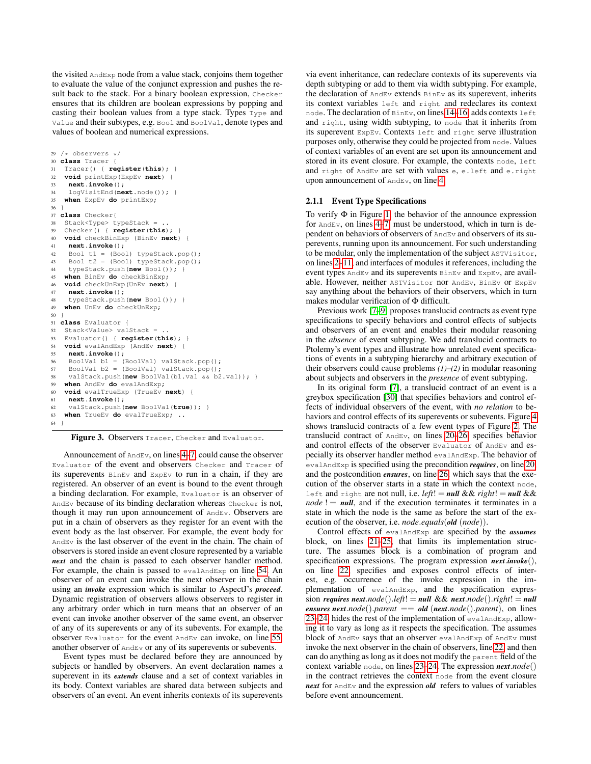the visited AndExp node from a value stack, conjoins them together to evaluate the value of the conjunct expression and pushes the result back to the stack. For a binary boolean expression, Checker ensures that its children are boolean expressions by popping and casting their boolean values from a type stack. Types Type and Value and their subtypes, e.g. Bool and BoolVal, denote types and values of boolean and numerical expressions.

```
29 /* observers */
30 class Tracer {
31 Tracer() { register(this); }
32 void printExp(ExpEv next) {
33 next.invoke();
34 logVisitEnd(next.node()); }
35 when ExpEv do printExp;
36 }
37 class Checker{
38 Stack<Type> typeStack = ..
39 Checker() { register(this); }
40 void checkBinExp (BinEv next) {
41 next.invoke();
42 Bool t1 = (Bool) typeStack.pop();
43 Bool t2 = (Bool) typeStack.pop();
44 typeStack.push(new Bool()); }
45 when BinEv do checkBinExp;
46 void checkUnExp(UnEv next) {
47 next.invoke();
48 typeStack.push(new Bool()); }
49 when UnEv do checkUnExp;
5051 class Evaluator {
52 Stack<Value> valStack =
53 Evaluator() { register(this); }
54 void evalAndExp (AndEv next) {
55 next.invoke();
56 BoolVal b1 = (BoolVal) valStack.pop();
57 BoolVal b2 = (BoolVal) valStack.pop();
58 valStack.push(new BoolVal(b1.val && b2.val)); }
59 when AndEv do evalAndExp;
60 void evalTrueExp (TrueEv next) {
61 next.invoke();
    62 valStack.push(new BoolVal(true)); }
63 when TrueEv do evalTrueExp; ..
64 }
```
<span id="page-2-5"></span><span id="page-2-4"></span><span id="page-2-3"></span><span id="page-2-2"></span><span id="page-2-1"></span><span id="page-2-0"></span>

Announcement of AndEv, on lines [4–](#page-1-3)[7,](#page-1-4) could cause the observer Evaluator of the event and observers Checker and Tracer of its superevents BinEv and ExpEv to run in a chain, if they are registered. An observer of an event is bound to the event through a binding declaration. For example, Evaluator is an observer of AndEv because of its binding declaration whereas Checker is not, though it may run upon announcement of AndEv. Observers are put in a chain of observers as they register for an event with the event body as the last observer. For example, the event body for AndEv is the last observer of the event in the chain. The chain of observers is stored inside an event closure represented by a variable *next* and the chain is passed to each observer handler method. For example, the chain is passed to evalandExp on line [54.](#page-2-3) An observer of an event can invoke the next observer in the chain using an *invoke* expression which is similar to AspectJ's *proceed*. Dynamic registration of observers allows observers to register in any arbitrary order which in turn means that an observer of an event can invoke another observer of the same event, an observer of any of its superevents or any of its subevents. For example, the observer Evaluator for the event AndEv can invoke, on line [55,](#page-2-5) another observer of AndEv or any of its superevents or subevents.

Event types must be declared before they are announced by subjects or handled by observers. An event declaration names a superevent in its *extends* clause and a set of context variables in its body. Context variables are shared data between subjects and observers of an event. An event inherits contexts of its superevents

via event inheritance, can redeclare contexts of its superevents via depth subtyping or add to them via width subtyping. For example, the declaration of AndEv extends BinEv as its superevent, inherits its context variables left and right and redeclares its context node. The declaration of BinEv, on lines [14](#page-1-11)[–16,](#page-1-12) adds contexts left and right, using width subtyping, to node that it inherits from its superevent ExpEv. Contexts left and right serve illustration purposes only, otherwise they could be projected from node. Values of context variables of an event are set upon its announcement and stored in its event closure. For example, the contexts node, left and right of AndEv are set with values e, e.left and e.right upon announcement of AndEv, on line [4.](#page-1-3)

#### 2.1.1 Event Type Specifications

To verify Φ in Figure [1,](#page-1-2) the behavior of the announce expression for AndEv, on lines [4–](#page-1-3)[7,](#page-1-4) must be understood, which in turn is dependent on behaviors of observers of AndEv and observers of its superevents, running upon its announcement. For such understanding to be modular, only the implementation of the subject ASTVisitor, on lines [2–](#page-1-13)[11,](#page-1-14) and interfaces of modules it references, including the event types AndEv and its superevents BinEv and ExpEv, are available. However, neither ASTVisitor nor AndEv, BinEv or ExpEv say anything about the behaviors of their observers, which in turn makes modular verification of Φ difficult.

Previous work [\[7–](#page-12-15)[9\]](#page-12-16) proposes translucid contracts as event type specifications to specify behaviors and control effects of subjects and observers of an event and enables their modular reasoning in the *absence* of event subtyping. We add translucid contracts to Ptolemy's event types and illustrate how unrelated event specifications of events in a subtyping hierarchy and arbitrary execution of their observers could cause problems *(1)*–*(2)* in modular reasoning about subjects and observers in the *presence* of event subtyping.

In its original form [\[7\]](#page-12-15), a translucid contract of an event is a greybox specification [\[30\]](#page-12-22) that specifies behaviors and control effects of individual observers of the event, with *no relation* to behaviors and control effects of its superevents or subevents. Figure [4](#page-3-0) shows translucid contracts of a few event types of Figure [2.](#page-1-5) The translucid contract of AndEv, on lines [20](#page-3-1)[–26,](#page-3-2) specifies behavior and control effects of the observer Evaluator of AndEv and especially its observer handler method evalAndExp. The behavior of evalAndExp is specified using the precondition *requires*, on line [20,](#page-3-1) and the postcondition *ensures*, on line [26,](#page-3-2) which says that the execution of the observer starts in a state in which the context node, left and right are not null, i.e. *left*! = *null* && *right*! = *null* &&  $node != null$ , and if the execution terminates it terminates in a state in which the node is the same as before the start of the execution of the observer, i.e. *node*.*equals*(*old* (*node*)).

Control effects of evalAndExp are specified by the *assumes* block, on lines [21](#page-3-3)[–25,](#page-3-4) that limits its implementation structure. The assumes block is a combination of program and specification expressions. The program expression *next*.*invoke*(), on line [22,](#page-3-5) specifies and exposes control effects of interest, e.g. occurrence of the invoke expression in the implementation of evalAndExp, and the specification expression *requires next*.*node*().*left*! = *null* && *next*.*node*().*right*! = *null*  $e$ *nsures next.node*().*parent* == *old* ( $next.node($ ).*parent*), on lines [23](#page-3-6)[–24,](#page-3-7) hides the rest of the implementation of evalance  $x_p$ , allowing it to vary as long as it respects the specification. The assumes block of AndEv says that an observer evalAndExp of AndEv must invoke the next observer in the chain of observers, line [22,](#page-3-5) and then can do anything as long as it does not modify the parent field of the context variable node, on lines [23](#page-3-6)[–24.](#page-3-7) The expression *next*.*node*() in the contract retrieves the context node from the event closure *next* for AndEv and the expression *old* refers to values of variables before event announcement.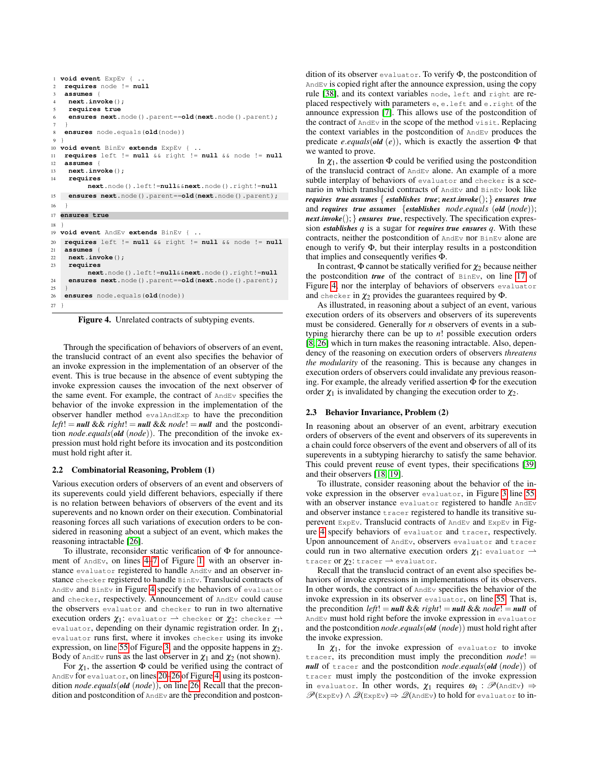```
1 void event ExpEv { ..
2 requires node != null
   3 assumes {
    4 next.invoke();
    5 requires true
6 ensures next.node().parent==old(next.node().parent);
 7 }
8 ensures node.equals(old(node))
 9 }
10 void event BinEv extends ExpEv { ..
11 requires left != null && right != null && node != null
   12 assumes {
13 next.invoke();
14 requires
         next.node().left!=null&&next.node().right!=null
15 ensures next.node().parent==old(next.node().parent);
16 }
17 ensures true
18 }
19 void event AndEv extends BinEv { ..
20 requires left != null && right != null && node != null
21 assumes {
22 next.invoke();
    23 requires
         next.node().left!=null&&next.node().right!=null
24 ensures next.node().parent==old(next.node().parent);
25 }
26 ensures node.equals(old(node))
27 }
```
<span id="page-3-8"></span><span id="page-3-7"></span><span id="page-3-6"></span><span id="page-3-5"></span><span id="page-3-4"></span><span id="page-3-3"></span><span id="page-3-2"></span><span id="page-3-1"></span><span id="page-3-0"></span>Figure 4. Unrelated contracts of subtyping events.

Through the specification of behaviors of observers of an event, the translucid contract of an event also specifies the behavior of an invoke expression in the implementation of an observer of the event. This is true because in the absence of event subtyping the invoke expression causes the invocation of the next observer of the same event. For example, the contract of AndEv specifies the behavior of the invoke expression in the implementation of the observer handler method evalAndExp to have the precondition  $left! = null \&\& right! = null \&\& \text{ node!} = null$  and the postcondition *node*.*equals*(*old* (*node*)). The precondition of the invoke expression must hold right before its invocation and its postcondition must hold right after it.

#### 2.2 Combinatorial Reasoning, Problem (1)

Various execution orders of observers of an event and observers of its superevents could yield different behaviors, especially if there is no relation between behaviors of observers of the event and its superevents and no known order on their execution. Combinatorial reasoning forces all such variations of execution orders to be considered in reasoning about a subject of an event, which makes the reasoning intractable [\[26\]](#page-12-13).

To illustrate, reconsider static verification of Φ for announcement of AndEv, on lines [4–](#page-1-3)[7](#page-1-4) of Figure [1,](#page-1-2) with an observer instance evaluator registered to handle AndEv and an observer instance checker registered to handle BinEv. Translucid contracts of AndEv and BinEv in Figure [4](#page-3-0) specify the behaviors of evaluator and checker, respectively. Announcement of AndEv could cause the observers evaluator and checker to run in two alternative execution orders  $\chi_1$ : evaluator  $\rightarrow$  checker or  $\chi_2$ : checker  $\rightarrow$ evaluator, depending on their dynamic registration order. In  $\chi_1$ , evaluator runs first, where it invokes checker using its invoke expression, on line [55](#page-2-5) of Figure [3,](#page-2-0) and the opposite happens in  $\chi_2$ . Body of AndEv runs as the last observer in  $\chi_1$  and  $\chi_2$  (not shown).

For  $\chi_1$ , the assertion  $\Phi$  could be verified using the contract of AndEv for evaluator, on lines [20](#page-3-1)[–26](#page-3-2) of Figure [4,](#page-3-0) using its postcondition *node*.*equals*(*old* (*node*)), on line [26.](#page-3-2) Recall that the precondition and postcondition of AndEv are the precondition and postcondition of its observer evaluator. To verify Φ, the postcondition of AndEv is copied right after the announce expression, using the copy rule [\[38\]](#page-12-30), and its context variables node, left and right are replaced respectively with parameters e, e.left and e.right of the announce expression [\[7\]](#page-12-15). This allows use of the postcondition of the contract of AndEv in the scope of the method visit. Replacing the context variables in the postcondition of AndEv produces the predicate *e*.*equals*(*old*  $(e)$ ), which is exactly the assertion  $\Phi$  that we wanted to prove.

In  $\chi_1$ , the assertion  $\Phi$  could be verified using the postcondition of the translucid contract of AndEv alone. An example of a more subtle interplay of behaviors of evaluator and checker is a scenario in which translucid contracts of AndEv and BinEv look like *requires true assumes* { *establishes true*; *next*.*invoke*();} *ensures true* and *requires true assumes* {*establishes node*.*equals* (*old* (*node*)); *next*.*invoke*();} *ensures true*, respectively. The specification expression *establishes q* is a sugar for *requires true ensures q*. With these contracts, neither the postcondition of AndEv nor BinEv alone are enough to verify Φ, but their interplay results in a postcondition that implies and consequently verifies Φ.

In contrast,  $\Phi$  cannot be statically verified for  $\chi_2$  because neither the postcondition *true* of the contract of BinEv, on line [17](#page-3-8) of Figure [4,](#page-3-0) nor the interplay of behaviors of observers evaluator and checker in  $\chi_2$  provides the guarantees required by  $\Phi$ .

As illustrated, in reasoning about a subject of an event, various execution orders of its observers and observers of its superevents must be considered. Generally for *n* observers of events in a subtyping hierarchy there can be up to *n*! possible execution orders [\[8,](#page-12-19) [26\]](#page-12-13) which in turn makes the reasoning intractable. Also, dependency of the reasoning on execution orders of observers *threatens the modularity* of the reasoning. This is because any changes in execution orders of observers could invalidate any previous reasoning. For example, the already verified assertion  $\Phi$  for the execution order  $\chi_1$  is invalidated by changing the execution order to  $\chi_2$ .

#### 2.3 Behavior Invariance, Problem (2)

In reasoning about an observer of an event, arbitrary execution orders of observers of the event and observers of its superevents in a chain could force observers of the event and observers of all of its superevents in a subtyping hierarchy to satisfy the same behavior. This could prevent reuse of event types, their specifications [\[39\]](#page-12-31) and their observers [\[18,](#page-12-4) [19\]](#page-12-1).

To illustrate, consider reasoning about the behavior of the invoke expression in the observer evaluator, in Figure [3](#page-2-0) line [55,](#page-2-5) with an observer instance evaluator registered to handle AndEv and observer instance tracer registered to handle its transitive superevent ExpEv. Translucid contracts of AndEv and ExpEv in Figure [4](#page-3-0) specify behaviors of evaluator and tracer, respectively. Upon announcement of AndEv, observers evaluator and tracer could run in two alternative execution orders  $\chi_1$ : evaluator  $\rightarrow$ tracer or  $\chi_2$ : tracer  $\rightarrow$  evaluator.

Recall that the translucid contract of an event also specifies behaviors of invoke expressions in implementations of its observers. In other words, the contract of AndEv specifies the behavior of the invoke expression in its observer evaluator, on line [55.](#page-2-5) That is, the precondition  $left! = null \&\& right! = null \&\& \text{ mod } e! = null$  of AndEv must hold right before the invoke expression in evaluator and the postcondition *node*.*equals*(*old* (*node*)) must hold right after the invoke expression.

In  $\chi_1$ , for the invoke expression of evaluator to invoke tracer, its precondition must imply the precondition *node*! = *null* of tracer and the postcondition *node*.*equals*(*old* (*node*)) of tracer must imply the postcondition of the invoke expression in evaluator. In other words,  $\chi_1$  requires  $\omega_1 : \mathscr{P}(\text{AndEv}) \Rightarrow$  $\mathscr{P}(\text{ExpEv}) \wedge \mathscr{Q}(\text{ExpEv}) \Rightarrow \mathscr{Q}(\text{AndEv})$  to hold for evaluator to in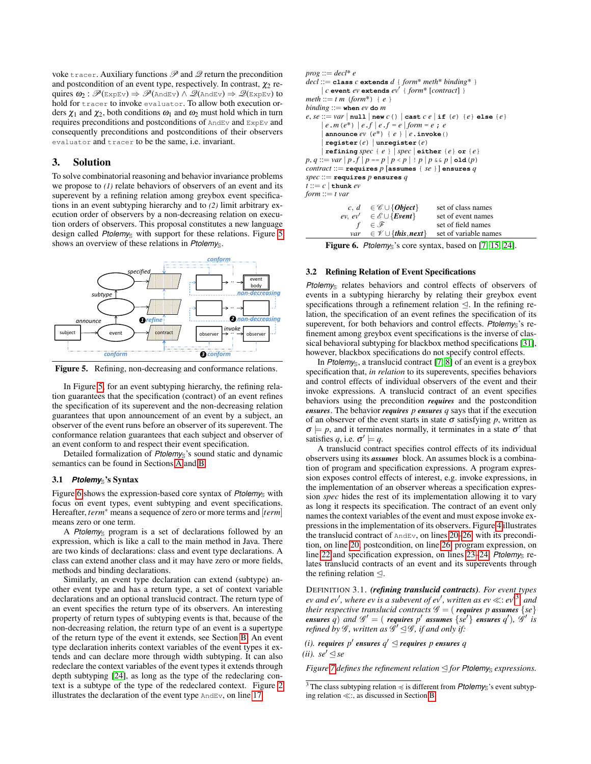voke tracer. Auxiliary functions  $\mathscr P$  and  $\mathscr Q$  return the precondition and postcondition of an event type, respectively. In contrast,  $\chi_2$  requires  $\omega_2 : \mathscr{P}(\text{ExpEv}) \Rightarrow \mathscr{P}(\text{AndEv}) \wedge \mathscr{Q}(\text{AndEv}) \Rightarrow \mathscr{Q}(\text{ExpEv})$  to hold for tracer to invoke evaluator. To allow both execution orders  $\chi_1$  and  $\chi_2$ , both conditions  $\omega_1$  and  $\omega_2$  must hold which in turn requires preconditions and postconditions of AndEv and ExpEv and consequently preconditions and postconditions of their observers evaluator and tracer to be the same, i.e. invariant.

# <span id="page-4-0"></span>3. Solution

To solve combinatorial reasoning and behavior invariance problems we propose to *(1)* relate behaviors of observers of an event and its superevent by a refining relation among greybox event specifications in an event subtyping hierarchy and to *(2)* limit arbitrary execution order of observers by a non-decreasing relation on execution orders of observers. This proposal constitutes a new language design called *Ptolemy*<sub>S</sub> with support for these relations. Figure [5](#page-4-1) shows an overview of these relations in *Ptolemy*<sub>S</sub>.



<span id="page-4-1"></span>Figure 5. Refining, non-decreasing and conformance relations.

In Figure [5,](#page-4-1) for an event subtyping hierarchy, the refining relation guarantees that the specification (contract) of an event refines the specification of its superevent and the non-decreasing relation guarantees that upon announcement of an event by a subject, an observer of the event runs before an observer of its superevent. The conformance relation guarantees that each subject and observer of an event conform to and respect their event specification.

Detailed formalization of *Ptolemy*<sub>S</sub>'s sound static and dynamic semantics can be found in Sections [A](#page-12-25) and [B.](#page-14-0)

#### 3.1 *Ptolemy*<sub>s</sub>'s Syntax

Figure [6](#page-4-2) shows the expression-based core syntax of *Ptolemy*<sub>S</sub> with focus on event types, event subtyping and event specifications. Hereafter, *term*<sup>∗</sup> means a sequence of zero or more terms and [*term*] means zero or one term.

A *Ptolemy*<sub>S</sub> program is a set of declarations followed by an expression, which is like a call to the main method in Java. There are two kinds of declarations: class and event type declarations. A class can extend another class and it may have zero or more fields, methods and binding declarations.

Similarly, an event type declaration can extend (subtype) another event type and has a return type, a set of context variable declarations and an optional translucid contract. The return type of an event specifies the return type of its observers. An interesting property of return types of subtyping events is that, because of the non-decreasing relation, the return type of an event is a supertype of the return type of the event it extends, see Section [B.](#page-14-0) An event type declaration inherits context variables of the event types it extends and can declare more through width subtyping. It can also redeclare the context variables of the event types it extends through depth subtyping [\[24\]](#page-12-11), as long as the type of the redeclaring context is a subtype of the type of the redeclared context. Figure [2](#page-1-5) illustrates the declaration of the event type AndEv, on line [17.](#page-1-15)

```
proj ::= decl^* e\text{d}ecl ::= class c extends d \{ \text{form*} \text{meth*} \text{ binding*} \}| c event ev extends ev' { form* [contract] }
meth ::= t m (form<sup>*</sup>) { e }
binding ::= when ev do me, se ::= var | null | new c() | cast c e | if (e) {e} else {e}e.m(e^*) | e.f | e.f = e | form = e; e\mathsf{announce}\;ev\;(e^*)\;\{e\}\;\{e.\mathsf{invoke}(\cdot)\}| register(e) | unregister(e)
       | refining spec { e } | spec | either {e} or {e}
p, q ::= var |p.f|p == p | p < p |! p | p \le a p | o \le (p)contract ::= \text{requires } p \text{ [assumes } \{ se \} \text{] ensures } qspec ::= \text{requires } p \text{ ensures } qt ::= c \mid \text{thunk } evform ::= t varc, d ∈ C ∪ { Object} set of class names<br>
ev, ev' \in \mathcal{E} \cup \{Event\} set of event names
```
<span id="page-4-2"></span> $f \in \mathscr{F}$  set of field names *var* ∈  $\mathcal{V} \cup \{this, next\}$  set of variable names **Figure 6.** *Ptolemy*<sub>s</sub>'s core syntax, based on [\[7,](#page-12-15) [15,](#page-12-3) [24\]](#page-12-11).

 $\in \mathscr{E} \cup \{Event\}$  set of event names<br>  $\in \mathscr{F}$  set of field names

#### 3.2 Refining Relation of Event Specifications

*Ptolemy*<sub>S</sub> relates behaviors and control effects of observers of events in a subtyping hierarchy by relating their greybox event specifications through a refinement relation  $\triangleleft$ . In the refining relation, the specification of an event refines the specification of its superevent, for both behaviors and control effects. *Ptolemy*<sub>S</sub>'s refinement among greybox event specifications is the inverse of classical behavioral subtyping for blackbox method specifications [\[31\]](#page-12-23), however, blackbox specifications do not specify control effects.

In *Ptolemy*<sub>S</sub>, a translucid contract [\[7,](#page-12-15) [8\]](#page-12-19) of an event is a greybox specification that, *in relation* to its superevents, specifies behaviors and control effects of individual observers of the event and their invoke expressions. A translucid contract of an event specifies behaviors using the precondition *requires* and the postcondition *ensures*. The behavior *requires p ensures q* says that if the execution of an observer of the event starts in state  $\sigma$  satisfying *p*, written as  $\sigma \models p$ , and it terminates normally, it terminates in a state  $\sigma'$  that satisfies q, i.e.  $\sigma' \models q$ .

A translucid contract specifies control effects of its individual observers using its *assumes* block. An assumes block is a combination of program and specification expressions. A program expression exposes control effects of interest, e.g. invoke expressions, in the implementation of an observer whereas a specification expression *spec* hides the rest of its implementation allowing it to vary as long it respects its specification. The contract of an event only names the context variables of the event and must expose invoke expressions in the implementation of its observers. Figure [4](#page-3-0) illustrates the translucid contract of AndEv, on lines [20](#page-3-1)[–26,](#page-3-2) with its precondition, on line [20,](#page-3-1) postcondition, on line [26,](#page-3-2) program expression, on line [22](#page-3-5) and specification expression, on lines [23](#page-3-6)[–24.](#page-3-7) *Ptolemy*<sub>S</sub> relates translucid contracts of an event and its superevents through the refining relation  $\trianglelefteq$ .

<span id="page-4-4"></span>DEFINITION 3.1. *(refining translucid contracts). For event types ev and ev', where ev is a subevent of ev', written as ev*  $\ll$ :  $ev'^3$  $ev'^3$ *, and their respective translucid contracts*  $\mathcal{G} = (\textit{requires } p \textit{ assumes } \{se\})$ *ensures*  $q$ ) and  $\mathscr{G}' = ($  *requires*  $p'$  assumes  $\{se'\}$  *ensures*  $q'$ ),  $\mathscr{G}'$  *is refined by*  $\mathscr{G}$ *, written as*  $\mathscr{G}' \trianglelefteq \mathscr{G}$ *, if and only if:* 

(i). *requires*  $p'$  *ensures*  $q' \trianglelefteq$  *requires*  $p$  *ensures*  $q$ *(ii).*  $se' \leq se$ 

*Figure 7* defines the refinement relation  $\leq$  *for* **Ptolemy**<sub>S</sub> *expressions.* 

<span id="page-4-3"></span><sup>&</sup>lt;sup>3</sup> The class subtyping relation  $\preccurlyeq$  is different from *Ptolemy*<sub>S</sub>'s event subtyping relation  $\ll$ :, as discussed in Section [B.](#page-14-0)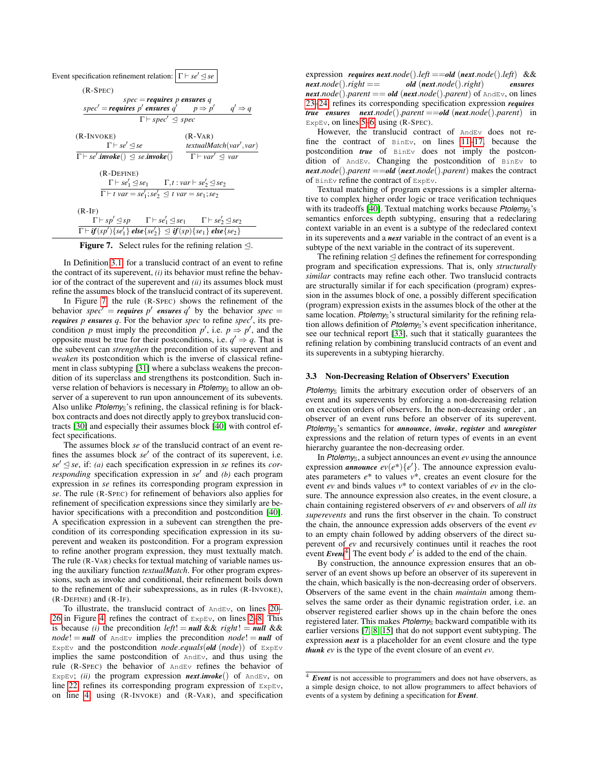| Event specification refinement relation: $ \Gamma \vdash s e' \lhd s e$                                                                                                                            |                         |
|----------------------------------------------------------------------------------------------------------------------------------------------------------------------------------------------------|-------------------------|
| $(R-Spec)$                                                                                                                                                                                         |                         |
| $spec = requires$ p ensures q<br>$spec' = requires \ p'$ ensures $q' \qquad p \Rightarrow p'$                                                                                                      | $q' \Rightarrow q$      |
| $\Gamma \vdash spec' \triangleleft spec$                                                                                                                                                           |                         |
| $(R-INUOKE)$                                                                                                                                                                                       | $(R-VAR)$               |
| $\Gamma \vdash s e' \triangleleft s e$<br>$\Gamma \vdash s e'.\mathit{invoke}() \triangleleft s e.\mathit{invoke}() \qquad \Gamma \vdash var' \triangleleft var$                                   | textualMatch(var', var) |
| $(R-DEFINE)$<br>$\Gamma \vdash s e_1' \trianglelefteq s e_1$ $\Gamma, t : var \vdash s e_2' \trianglelefteq s e_2$<br>$\Gamma \vdash t \text{ var} = se'_1; se'_2 \leq t \text{ var} = se_1; se_2$ |                         |
| $(R-IF)$<br>$\Gamma \vdash sp' \trianglelefteq sp$ $\Gamma \vdash se'_1 \trianglelefteq se_1$ $\Gamma \vdash se'_2 \trianglelefteq se_2$                                                           |                         |
| $\Gamma \vdash \textit{if}(sp')\{se_1'\}$ else $\{se_2'\} \trianglelefteq \textit{if}(sp)\{se_1\}$ else $\{se_2\}$                                                                                 |                         |
|                                                                                                                                                                                                    |                         |

<span id="page-5-0"></span>**Figure 7.** Select rules for the refining relation  $\triangleleft$ .

In Definition [3.1,](#page-4-4) for a translucid contract of an event to refine the contract of its superevent, *(i)* its behavior must refine the behavior of the contract of the superevent and *(ii)* its assumes block must refine the assumes block of the translucid contract of its superevent.

In Figure [7,](#page-5-0) the rule (R-SPEC) shows the refinement of the behavior  $spec' = requires p'$  ensures  $q'$  by the behavior  $spec =$ *requires*  $p$  *ensures*  $q$ . For the behavior *spec* to refine *spec*<sup>'</sup>, its precondition *p* must imply the precondition *p'*, i.e.  $p \Rightarrow p'$ , and the opposite must be true for their postconditions, i.e.  $q' \Rightarrow q$ . That is the subevent can *strengthen* the precondition of its superevent and *weaken* its postcondition which is the inverse of classical refinement in class subtyping [\[31\]](#page-12-23) where a subclass weakens the precondition of its superclass and strengthens its postcondition. Such inverse relation of behaviors is necessary in *Ptolemy*<sub>S</sub> to allow an observer of a superevent to run upon announcement of its subevents. Also unlike *Ptolemy*<sub>S</sub>'s refining, the classical refining is for blackbox contracts and does not directly apply to greybox translucid contracts [\[30\]](#page-12-22) and especially their assumes block [\[40\]](#page-12-32) with control effect specifications.

The assumes block *se* of the translucid contract of an event refines the assumes block *se'* of the contract of its superevent, i.e.  $se' \leq se$ , if: *(a)* each specification expression in *se* refines its *corresponding* specification expression in *se'* and *(b)* each program expression in *se* refines its corresponding program expression in *se*. The rule (R-SPEC) for refinement of behaviors also applies for refinement of specification expressions since they similarly are be-havior specifications with a precondition and postcondition [\[40\]](#page-12-32). A specification expression in a subevent can strengthen the precondition of its corresponding specification expression in its superevent and weaken its postcondition. For a program expression to refine another program expression, they must textually match. The rule (R-VAR) checks for textual matching of variable names using the auxiliary function *textualMatch*. For other program expressions, such as invoke and conditional, their refinement boils down to the refinement of their subexpressions, as in rules (R-INVOKE), (R-DEFINE) and (R-IF).

To illustrate, the translucid contract of AndEv, on lines [20–](#page-3-1) [26](#page-3-2) in Figure [4,](#page-3-0) refines the contract of  $ExpEv$ , on lines [2–](#page-3-9)[8.](#page-3-10) This is because *(i)* the precondition *left*! = *null* && *right*! = *null* &&  $node! = null$  of  $AndEv$  implies the precondition  $node! = null$  of ExpEv and the postcondition *node*.*equals*(*old* (*node*)) of ExpEv implies the same postcondition of AndEv, and thus using the rule (R-SPEC) the behavior of AndEv refines the behavior of ExpEv; *(ii)* the program expression *next*.*invoke*() of AndEv, on line [22,](#page-3-5) refines its corresponding program expression of ExpEv, on line [4,](#page-3-11) using (R-INVOKE) and (R-VAR), and specification expression *requires next*.*node*().*left* ==*old* (*next*.*node*().*left*) && *next*.*node*().*right* == *old* (*next*.*node*().*right*) *ensures*  $next.node().parent == old (next.node().parent)$  of  $AndEv$ , on lines [23](#page-3-6)[–24,](#page-3-7) refines its corresponding specification expression *requires true ensures next*.*node*().*parent* ==*old* (*next*.*node*().*parent*) in  $ExpEv$ , on lines [5](#page-3-12)[–6,](#page-3-13) using (R-SPEC).

However, the translucid contract of AndEv does not refine the contract of BinEv, on lines [11](#page-3-14)[–17,](#page-3-8) because the postcondition *true* of BinEv does not imply the postcondition of AndEv. Changing the postcondition of BinEv to *next*.*node*().*parent* ==*old* (*next*.*node*().*parent*) makes the contract of BinEv refine the contract of ExpEv.

Textual matching of program expressions is a simpler alternative to complex higher order logic or trace verification techniques with its tradeoffs [\[40\]](#page-12-32). Textual matching works because *Ptolemy*<sub>S</sub>'s semantics enforces depth subtyping, ensuring that a redeclaring context variable in an event is a subtype of the redeclared context in its superevents and a *next* variable in the contract of an event is a subtype of the next variable in the contract of its superevent.

The refining relation  $\triangleleft$  defines the refinement for corresponding program and specification expressions. That is, only *structurally similar* contracts may refine each other. Two translucid contracts are structurally similar if for each specification (program) expression in the assumes block of one, a possibly different specification (program) expression exists in the assumes block of the other at the same location. *Ptolemy*<sub>S</sub>'s structural similarity for the refining relation allows definition of *Ptolemy*<sub>S</sub>'s event specification inheritance, see our technical report [\[33\]](#page-12-26), such that it statically guarantees the refining relation by combining translucid contracts of an event and its superevents in a subtyping hierarchy.

#### 3.3 Non-Decreasing Relation of Observers' Execution

*Ptolemy* limits the arbitrary execution order of observers of an event and its superevents by enforcing a non-decreasing relation on execution orders of observers. In the non-decreasing order , an observer of an event runs before an observer of its superevent. *Ptolemy*<sub>S</sub>'s semantics for *announce*, *invoke*, *register* and *unregister* expressions and the relation of return types of events in an event hierarchy guarantee the non-decreasing order.

In *Ptolemy*<sub>S</sub>, a subject announces an event *ev* using the announce expression *announce*  $ev(e^*)\{e'\}$ . The announce expression evaluates parameters *e*\* to values *v*\*, creates an event closure for the event *ev* and binds values *v*\* to context variables of *ev* in the closure. The announce expression also creates, in the event closure, a chain containing registered observers of *ev* and observers of *all its superevents* and runs the first observer in the chain. To construct the chain, the announce expression adds observers of the event *ev* to an empty chain followed by adding observers of the direct superevent of *ev* and recursively continues until it reaches the root event *Event*<sup>[4](#page-5-1)</sup>. The event body  $e'$  is added to the end of the chain.

By construction, the announce expression ensures that an observer of an event shows up before an observer of its superevent in the chain, which basically is the non-decreasing order of observers. Observers of the same event in the chain *maintain* among themselves the same order as their dynamic registration order, i.e. an observer registered earlier shows up in the chain before the ones registered later. This makes *Ptolemy*<sub>S</sub> backward compatible with its earlier versions [\[7,](#page-12-15) [8,](#page-12-19) [15\]](#page-12-3) that do not support event subtyping. The expression *next* is a placeholder for an event closure and the type *thunk ev* is the type of the event closure of an event *ev*.

<span id="page-5-1"></span><sup>4</sup> *Event* is not accessible to programmers and does not have observers, as a simple design choice, to not allow programmers to affect behaviors of events of a system by defining a specification for *Event*.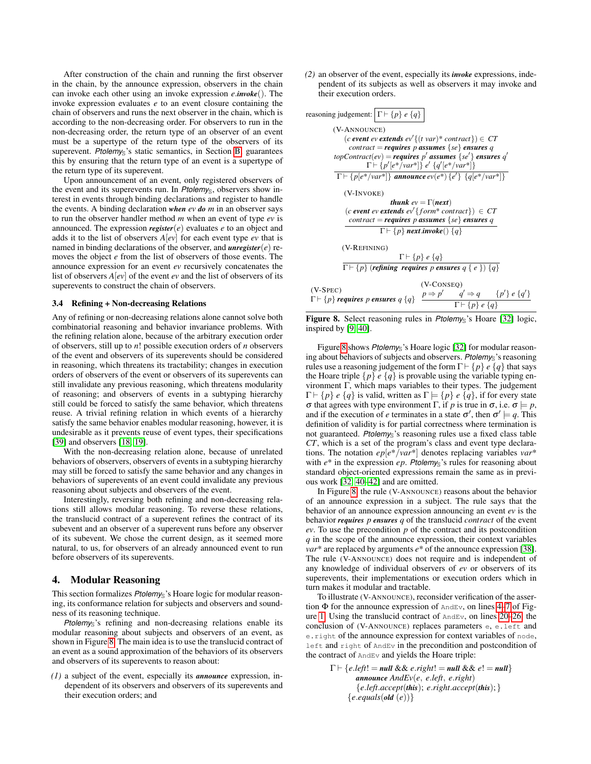After construction of the chain and running the first observer in the chain, by the announce expression, observers in the chain can invoke each other using an invoke expression *e*.*invoke*(). The invoke expression evaluates *e* to an event closure containing the chain of observers and runs the next observer in the chain, which is according to the non-decreasing order. For observers to run in the non-decreasing order, the return type of an observer of an event must be a supertype of the return type of the observers of its superevent. *Ptolemy*<sub>S</sub>'s static semantics, in Section [B,](#page-14-0) guarantees this by ensuring that the return type of an event is a supertype of the return type of its superevent.

Upon announcement of an event, only registered observers of the event and its superevents run. In *Ptolemy*<sub>S</sub>, observers show interest in events through binding declarations and register to handle the events. A binding declaration *when ev do m* in an observer says to run the observer handler method *m* when an event of type *ev* is announced. The expression *register*( $e$ ) evaluates  $e$  to an object and adds it to the list of observers *A*[*ev*] for each event type *ev* that is named in binding declarations of the observer, and *unregister*(*e*) removes the object *e* from the list of observers of those events. The announce expression for an event *ev* recursively concatenates the list of observers  $A|ev|$  of the event *ev* and the list of observers of its superevents to construct the chain of observers.

# 3.4 Refining + Non-decreasing Relations

Any of refining or non-decreasing relations alone cannot solve both combinatorial reasoning and behavior invariance problems. With the refining relation alone, because of the arbitrary execution order of observers, still up to *n*! possible execution orders of *n* observers of the event and observers of its superevents should be considered in reasoning, which threatens its tractability; changes in execution orders of observers of the event or observers of its superevents can still invalidate any previous reasoning, which threatens modularity of reasoning; and observers of events in a subtyping hierarchy still could be forced to satisfy the same behavior, which threatens reuse. A trivial refining relation in which events of a hierarchy satisfy the same behavior enables modular reasoning, however, it is undesirable as it prevents reuse of event types, their specifications [\[39\]](#page-12-31) and observers [\[18,](#page-12-4) [19\]](#page-12-1).

With the non-decreasing relation alone, because of unrelated behaviors of observers, observers of events in a subtyping hierarchy may still be forced to satisfy the same behavior and any changes in behaviors of superevents of an event could invalidate any previous reasoning about subjects and observers of the event.

Interestingly, reversing both refining and non-decreasing relations still allows modular reasoning. To reverse these relations, the translucid contract of a superevent refines the contract of its subevent and an observer of a superevent runs before any observer of its subevent. We chose the current design, as it seemed more natural, to us, for observers of an already announced event to run before observers of its superevents.

# <span id="page-6-0"></span>4. Modular Reasoning

This section formalizes *Ptolemy*<sub>S</sub>'s Hoare logic for modular reasoning, its conformance relation for subjects and observers and soundness of its reasoning technique.

*Ptolemy*<sub>S</sub>'s refining and non-decreasing relations enable its modular reasoning about subjects and observers of an event, as shown in Figure [8.](#page-6-1) The main idea is to use the translucid contract of an event as a sound approximation of the behaviors of its observers and observers of its superevents to reason about:

*(1)* a subject of the event, especially its *announce* expression, independent of its observers and observers of its superevents and their execution orders; and

*(2)* an observer of the event, especially its *invoke* expressions, independent of its subjects as well as observers it may invoke and their execution orders.



<span id="page-6-1"></span>Figure 8. Select reasoning rules in *Ptolemy*<sub>S</sub>'s Hoare [\[32\]](#page-12-24) logic, inspired by [\[9,](#page-12-16) [40\]](#page-12-32).

Figure [8](#page-6-1) shows *Ptolemy*<sub>S</sub>'s Hoare logic [\[32\]](#page-12-24) for modular reasoning about behaviors of subjects and observers. *Ptolemy*<sub>S</sub>'s reasoning rules use a reasoning judgement of the form  $\Gamma \vdash \{p\}$  *e*  $\{q\}$  that says the Hoare triple  $\{p\}$  *e*  $\{q\}$  is provable using the variable typing environment Γ, which maps variables to their types. The judgement  $Γ ⊢ {p} ∈ {q}$  is valid, written as  $Γ ⊨ {p} ∈ {q}$ , if for every state σ that agrees with type environment Γ, if *p* is true in σ, i.e. σ |= *p*, and if the execution of *e* terminates in a state  $\sigma'$ , then  $\sigma' \models q$ . This definition of validity is for partial correctness where termination is not guaranteed. Ptolemy<sub>S</sub>'s reasoning rules use a fixed class table *CT*, which is a set of the program's class and event type declarations. The notation *ep*[*e*\*/*var*\*] denotes replacing variables *var*\* with  $e^*$  in the expression  $ep$ . Ptolemy<sub>S</sub>'s rules for reasoning about standard object-oriented expressions remain the same as in previous work [\[32,](#page-12-24) [40–](#page-12-32)[42\]](#page-12-33) and are omitted.

In Figure [8,](#page-6-1) the rule (V-ANNOUNCE) reasons about the behavior of an announce expression in a subject. The rule says that the behavior of an announce expression announcing an event *ev* is the behavior *requires p ensures q* of the translucid *contract* of the event *ev*. To use the precondition *p* of the contract and its postcondition *q* in the scope of the announce expression, their context variables *var*\* are replaced by arguments *e*\* of the announce expression [\[38\]](#page-12-30). The rule (V-ANNOUNCE) does not require and is independent of any knowledge of individual observers of *ev* or observers of its superevents, their implementations or execution orders which in turn makes it modular and tractable.

To illustrate (V-ANNOUNCE), reconsider verification of the assertion  $\Phi$  for the announce expression of AndEv, on lines [4–](#page-1-3)[7](#page-1-4) of Figure [1.](#page-1-2) Using the translucid contract of AndEv, on lines [20–](#page-3-1)[26,](#page-3-2) the conclusion of (V-ANNOUNCE) replaces parameters e, e.left and e.right of the announce expression for context variables of node, left and right of AndEv in the precondition and postcondition of the contract of AndEv and yields the Hoare triple:

```
\Gamma \vdash \{e.left! = \textit{null} \&\& e.right! = \textit{null} \&\& e!=\textit{null}\}announce AndEv(e, e.left, e.right)
         {e.left.accept(this); e.right.accept(this);}
      {e.equals(old (e))}
```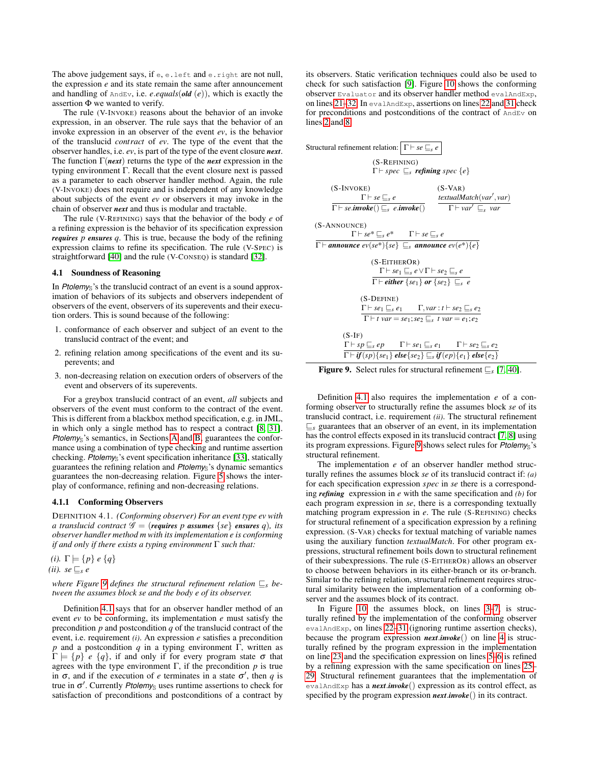The above judgement says, if e, e.left and e.right are not null, the expression *e* and its state remain the same after announcement and handling of AndEv, i.e. *e*.*equals*(*old* (*e*)), which is exactly the assertion  $\Phi$  we wanted to verify.

The rule (V-INVOKE) reasons about the behavior of an invoke expression, in an observer. The rule says that the behavior of an invoke expression in an observer of the event *ev*, is the behavior of the translucid *contract* of *ev*. The type of the event that the observer handles, i.e. *ev*, is part of the type of the event closure *next*. The function Γ(*next*) returns the type of the *next* expression in the typing environment Γ. Recall that the event closure next is passed as a parameter to each observer handler method. Again, the rule (V-INVOKE) does not require and is independent of any knowledge about subjects of the event *ev* or observers it may invoke in the chain of observer *next* and thus is modular and tractable.

The rule (V-REFINING) says that the behavior of the body *e* of a refining expression is the behavior of its specification expression *requires p ensures q*. This is true, because the body of the refining expression claims to refine its specification. The rule (V-SPEC) is straightforward [\[40\]](#page-12-32) and the rule (V-CONSEQ) is standard [\[32\]](#page-12-24).

#### 4.1 Soundness of Reasoning

In *Ptolemy*<sub>S</sub>'s the translucid contract of an event is a sound approximation of behaviors of its subjects and observers independent of observers of the event, observers of its superevents and their execution orders. This is sound because of the following:

- 1. conformance of each observer and subject of an event to the translucid contract of the event; and
- 2. refining relation among specifications of the event and its superevents; and
- 3. non-decreasing relation on execution orders of observers of the event and observers of its superevents.

For a greybox translucid contract of an event, *all* subjects and observers of the event must conform to the contract of the event. This is different from a blackbox method specification, e.g. in JML, in which only a single method has to respect a contract [\[8,](#page-12-19) [31\]](#page-12-23). Ptolemy<sub>S</sub>'s semantics, in Sections [A](#page-12-25) and [B,](#page-14-0) guarantees the conformance using a combination of type checking and runtime assertion checking. *Ptolemy*<sub>S</sub>'s event specification inheritance [\[33\]](#page-12-26), statically guarantees the refining relation and *Ptolemy*<sub>S</sub>'s dynamic semantics guarantees the non-decreasing relation. Figure [5](#page-4-1) shows the interplay of conformance, refining and non-decreasing relations.

### 4.1.1 Conforming Observers

<span id="page-7-1"></span>DEFINITION 4.1. *(Conforming observer) For an event type ev with a translucid contract*  $\mathscr{G} =$  (*requires p assumes* {*se*} *ensures q*)*, its observer handler method m with its implementation e is conforming if and only if there exists a typing environment* Γ *such that:*

*(i).*  $\Gamma \models \{p\}$  *e*  $\{q\}$ *(ii). se*  $\sqsubseteq$ *s e* 

*where Figure* [9](#page-7-0) defines the structural refinement relation  $\sqsubseteq_s$  *between the assumes block se and the body e of its observer.*

Definition [4.1](#page-7-1) says that for an observer handler method of an event *ev* to be conforming, its implementation *e* must satisfy the precondition *p* and postcondition *q* of the translucid contract of the event, i.e. requirement *(i)*. An expression *e* satisfies a precondition *p* and a postcondition *q* in a typing environment Γ, written as  $\Gamma \models \{p\}$  *e*  $\{q\}$ , if and only if for every program state  $\sigma$  that agrees with the type environment  $\Gamma$ , if the precondition  $p$  is true in  $\sigma$ , and if the execution of *e* terminates in a state  $\sigma'$ , then *q* is true in  $\sigma'$ . Currently *Ptolemy*<sub>S</sub> uses runtime assertions to check for satisfaction of preconditions and postconditions of a contract by its observers. Static verification techniques could also be used to check for such satisfaction [\[9\]](#page-12-16). Figure [10](#page-8-0) shows the conforming observer Evaluator and its observer handler method evalAndExp, on lines [21–](#page-8-1)[32.](#page-8-2) In evalAndExp, assertions on lines [22](#page-8-3) and [31](#page-8-4) check for preconditions and postconditions of the contract of AndEv on lines [2](#page-8-5) and [8.](#page-8-6)

| Structural refinement relation: $\Gamma \vdash s e \sqsubset_s e$                                                           |                                                                                      |
|-----------------------------------------------------------------------------------------------------------------------------|--------------------------------------------------------------------------------------|
| $(S$ -REFINING)                                                                                                             |                                                                                      |
| $\Gamma \vdash spec \sqsubseteq_s \text{refining spec } \{e\}$                                                              |                                                                                      |
| $(S-INUOKE)$                                                                                                                | $(S-VAR)$                                                                            |
|                                                                                                                             | KE)<br>$\Gamma \vdash se \sqsubseteq_s e$ (S-VAR)<br>$text{naturalMatch}(var', var)$ |
| $\Gamma \vdash$ se.invoke() $\sqsubseteq_s$ e.invoke() $\Gamma \vdash var' \sqsubseteq_s var$                               |                                                                                      |
| (S-ANNOUNCE)                                                                                                                |                                                                                      |
| $\Gamma \vdash s e^* \sqsubseteq_s e^*$ $\Gamma \vdash s e \sqsubseteq_s e$                                                 |                                                                                      |
| $\Gamma \vdash$ announce $ev(se^*)\{se\} \sqsubseteq_s$ announce $ev(e^*)\{e\}$                                             |                                                                                      |
| $(S-ETHEROR)$                                                                                                               |                                                                                      |
| $\Gamma \vdash s e_1 \sqsubset_s e \vee \Gamma \vdash s e_2 \sqsubset_s e$                                                  |                                                                                      |
| $\overline{\Gamma \vdash}$ either $\{se_1\}$ or $\{se_2\} \sqsubseteq_s e$                                                  |                                                                                      |
| $(S-DEFINE)$                                                                                                                |                                                                                      |
| $\Gamma \vdash s e_1 \sqsubseteq_s e_1 \qquad \Gamma, var : t \vdash s e_2 \sqsubseteq_s e_2$                               |                                                                                      |
| $\Gamma \vdash t \text{ var} = \text{se}_1; \text{se}_2 \sqsubseteq_s t \text{ var} = e_1; e_2$                             |                                                                                      |
| $(S-IF)$                                                                                                                    |                                                                                      |
| $\Gamma \vdash sp \sqsubseteq_s ep \qquad \Gamma \vdash se_1 \sqsubseteq_s e_1 \qquad \Gamma \vdash se_2 \sqsubseteq_s e_2$ |                                                                                      |
| $\Gamma \vdash \textit{if}(sp)\{se_1\}$ else $\{se_2\} \sqsubseteq_s \textit{if}(ep)\{e_1\}$ else $\{e_2\}$                 |                                                                                      |

<span id="page-7-0"></span>**Figure 9.** Select rules for structural refinement  $\subseteq_s [7, 40]$  $\subseteq_s [7, 40]$  $\subseteq_s [7, 40]$ .

Definition [4.1](#page-7-1) also requires the implementation *e* of a conforming observer to structurally refine the assumes block *se* of its translucid contract, i.e. requirement *(ii)*. The structural refinement  $\sqsubseteq_s$  guarantees that an observer of an event, in its implementation has the control effects exposed in its translucid contract [\[7,](#page-12-15) [8\]](#page-12-19) using its program expressions. Figure [9](#page-7-0) shows select rules for *Ptolemy*<sub>S</sub>'s structural refinement.

The implementation *e* of an observer handler method structurally refines the assumes block *se* of its translucid contract if: *(a)* for each specification expression *spec* in *se* there is a corresponding *refining* expression in *e* with the same specification and *(b)* for each program expression in *se*, there is a corresponding textually matching program expression in *e*. The rule (S-REFINING) checks for structural refinement of a specification expression by a refining expression. (S-VAR) checks for textual matching of variable names using the auxiliary function *textualMatch*. For other program expressions, structural refinement boils down to structural refinement of their subexpressions. The rule (S-EITHEROR) allows an observer to choose between behaviors in its either-branch or its or-branch. Similar to the refining relation, structural refinement requires structural similarity between the implementation of a conforming observer and the assumes block of its contract.

In Figure [10,](#page-8-0) the assumes block, on lines [3–](#page-8-7)[7,](#page-8-8) is structurally refined by the implementation of the conforming observer evalAndExp, on lines [22](#page-8-3)[–31](#page-8-4) (ignoring runtime assertion checks), because the program expression *next*.*invoke*() on line [4](#page-8-9) is structurally refined by the program expression in the implementation on line [23](#page-8-10) and the specification expression on lines [5](#page-8-11)[–6](#page-8-12) is refined by a refining expression with the same specification on lines [25–](#page-8-13) [29.](#page-8-14) Structural refinement guarantees that the implementation of evalAndExp has a *next*.*invoke*() expression as its control effect, as specified by the program expression *next*.*invoke*() in its contract.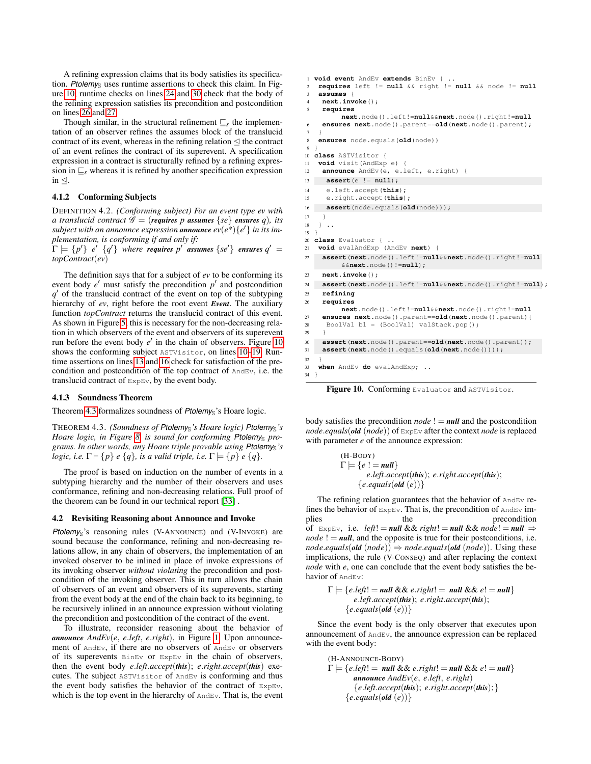A refining expression claims that its body satisfies its specification. *Ptolemy*<sub>S</sub> uses runtime assertions to check this claim. In Figure [10,](#page-8-0) runtime checks on lines [24](#page-8-15) and [30](#page-8-16) check that the body of the refining expression satisfies its precondition and postcondition on lines [26](#page-8-17) and [27.](#page-8-18)

Though similar, in the structural refinement  $\sqsubseteq_s$  the implementation of an observer refines the assumes block of the translucid contract of its event, whereas in the refining relation  $\leq$  the contract of an event refines the contract of its superevent. A specification expression in a contract is structurally refined by a refining expression in  $\sqsubseteq_s$  whereas it is refined by another specification expression in  $\leq$ .

## 4.1.2 Conforming Subjects

DEFINITION 4.2. *(Conforming subject) For an event type ev with a translucid contract*  $\mathcal{G} =$  (*requires p assumes* {*se*} *ensures q*)*, its* subject with an announce expression **announce**  $ev(e^*)\{e'\}$  in its im*plementation, is conforming if and only if:*

 $\Gamma \models \{p'\}\neq \{q'\}\$  where requires  $p'$  assumes  $\{se'\}\$ ensures  $q' = 0$ *topContract*(*ev*)

The definition says that for a subject of *ev* to be conforming its event body  $e'$  must satisfy the precondition  $p'$  and postcondition  $q'$  of the translucid contract of the event on top of the subtyping hierarchy of *ev*, right before the root event *Event*. The auxiliary function *topContract* returns the translucid contract of this event. As shown in Figure [5,](#page-4-1) this is necessary for the non-decreasing relation in which observers of the event and observers of its superevent run before the event body  $e'$  in the chain of observers. Figure [10](#page-8-0) shows the conforming subject ASTVisitor, on lines [10–](#page-8-19)[19.](#page-8-20) Runtime assertions on lines [13](#page-8-21) and [16](#page-8-22) check for satisfaction of the precondition and postcondition of the top contract of AndEv, i.e. the translucid contract of ExpEv, by the event body.

# 4.1.3 Soundness Theorem

<span id="page-8-23"></span>Theorem [4.3](#page-8-23) formalizes soundness of *Ptolemy*<sub>S</sub>'s Hoare logic.

THEOREM 4.3. *(Soundness of Ptolemy<sub>S</sub></sub>'s Hoare logic) Ptolemy<sub>S</sub>'s Hoare logic, in Figure [8,](#page-6-1) is sound for conforming Ptolemy*<sub>S</sub> *programs. In other words, any Hoare triple provable using Ptolemy<sub>S</sub>'s logic, i.e.*  $\Gamma \vdash \{p\}$  *e*  $\{q\}$ *, is a valid triple, i.e.*  $\Gamma \models \{p\}$  *e*  $\{q\}$ *.* 

The proof is based on induction on the number of events in a subtyping hierarchy and the number of their observers and uses conformance, refining and non-decreasing relations. Full proof of the theorem can be found in our technical report [\[33\]](#page-12-26) .

#### 4.2 Revisiting Reasoning about Announce and Invoke

*Ptolemy*<sub>S</sub>'s reasoning rules (V-ANNOUNCE) and (V-INVOKE) are sound because the conformance, refining and non-decreasing relations allow, in any chain of observers, the implementation of an invoked observer to be inlined in place of invoke expressions of its invoking observer *without violating* the precondition and postcondition of the invoking observer. This in turn allows the chain of observers of an event and observers of its superevents, starting from the event body at the end of the chain back to its beginning, to be recursively inlined in an announce expression without violating the precondition and postcondition of the contract of the event.

To illustrate, reconsider reasoning about the behavior of *announce AndEv*(*e*, *e*.*left*, *e*.*right*), in Figure [1.](#page-1-2) Upon announcement of AndEv, if there are no observers of AndEv or observers of its superevents BinEv or ExpEv in the chain of observers, then the event body *e*.*left*.*accept*(*this*); *e*.*right*.*accept*(*this*) executes. The subject ASTVisitor of AndEv is conforming and thus the event body satisfies the behavior of the contract of ExpEv, which is the top event in the hierarchy of AndEv. That is, the event

```
2 requires left != null && right != null && node != null
   3 assumes {
    4 next.invoke();
    5 requires
         next.node().left!=null&&next.node().right!=null
    6 ensures next.node().parent==old(next.node().parent);
 7 }
   8 ensures node.equals(old(node))
\overline{9}10 class ASTVisitor {
   void visit(AndExp e) {
12 announce AndEv(e, e.left, e.right) {
13 assert(e != null);
14 e.left.accept(this);
15 e.right.accept(this);
16 assert(node.equals(old(node)));
17 }
18 \quad \} \quad .19 }
20 class Evaluator { ..
21 void evalAndExp (AndEv next) {
22 assert(next.node().left!=null&&next.node().right!=null
         &&next.node()!=null);
23 next.invoke();
24 assert(next.node().left!=null&&next.node().right!=null);
25 refining
26 requires
         next.node().left!=null&&next.node().right!=null
27 ensures next.node().parent==old(next.node().parent){
28 BoolVal b1 = (BoolVal) valStack.pop();
29 }
30 assert(next.node().parent==old(next.node().parent));
31 assert(next.node().equals(old(next.node())));
32 \t 33 \t W33 when AndEv do evalAndExp; ..
34 }
```
<span id="page-8-5"></span><sup>1</sup> **void event** AndEv **extends** BinEv { ..

<span id="page-8-18"></span><span id="page-8-17"></span><span id="page-8-16"></span><span id="page-8-15"></span><span id="page-8-14"></span><span id="page-8-13"></span><span id="page-8-10"></span><span id="page-8-4"></span><span id="page-8-3"></span><span id="page-8-2"></span><span id="page-8-1"></span><span id="page-8-0"></span>Figure 10. Conforming Evaluator and ASTVisitor.

body satisfies the precondition  $node$  !  $= null$  and the postcondition *node*.*equals*(*old* (*node*)) of ExpEv after the context *node* is replaced with parameter *e* of the announce expression:

$$
\Gamma \models \{e := \textit{null}\} \n\Gamma \models \{e := \textit{null}\} \n\quad.e. left. accept(\textit{this}); e. right. accept(\textit{this});
$$
\n
$$
\{e. equals(\textit{old}(e))\}
$$

The refining relation guarantees that the behavior of AndEv refines the behavior of  $ExpEv$ . That is, the precondition of  $AndEv$  implies the precondition of ExpEv, i.e. *left*! = *null* && *right*! = *null* && *node*! = *null*  $\Rightarrow$  $node != null$ , and the opposite is true for their postconditions, i.e.  $node.equals(old(node)) \Rightarrow node.equals(old(node))$ . Using these implications, the rule (V-CONSEQ) and after replacing the context *node* with *e*, one can conclude that the event body satisfies the behavior of AndEv:

 $\Gamma \models \{e.left! = null \&\& e.right! = null\}$ *e*.*left*.*accept*(*this*); *e*.*right*.*accept*(*this*); {*e*.*equals*(*old* (*e*))}

Since the event body is the only observer that executes upon announcement of AndEv, the announce expression can be replaced with the event body:

```
(H-ANNOUNCE-BODY)
\Gamma \models \{e.left! = \textit{null} \&\& e.right! = \textit{null} \& \& e! = \textit{null} \}announce AndEv(e, e.left, e.right)
         {e.left.accept(this); e.right.accept(this);}
      {e.equals(old (e))}
```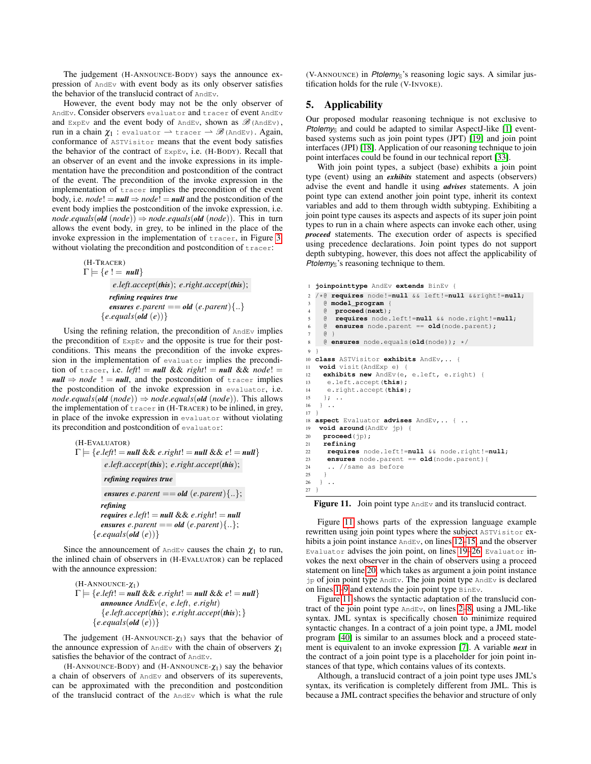The judgement (H-ANNOUNCE-BODY) says the announce expression of AndEv with event body as its only observer satisfies the behavior of the translucid contract of AndEv.

However, the event body may not be the only observer of AndEv. Consider observers evaluator and tracer of event AndEv and  $ExpEv$  and the event body of AndEv, shown as  $\mathscr{B}$ (AndEv), run in a chain  $\chi_1$  : evaluator  $\to$  tracer  $\to$   $\mathscr{B}$ (AndEv). Again, conformance of ASTVisitor means that the event body satisfies the behavior of the contract of ExpEv, i.e. (H-BODY). Recall that an observer of an event and the invoke expressions in its implementation have the precondition and postcondition of the contract of the event. The precondition of the invoke expression in the implementation of tracer implies the precondition of the event body, i.e.  $node! = null \Rightarrow node! = null$  and the postcondition of the event body implies the postcondition of the invoke expression, i.e.  $node.equals(old(node)) \Rightarrow node.equals(old(node))$ . This in turn allows the event body, in grey, to be inlined in the place of the invoke expression in the implementation of tracer, in Figure [3,](#page-2-0) without violating the precondition and postcondition of tracer:

(H-TRACER)  
\n
$$
\Gamma \models \{e := \textit{null}\}
$$
\n*e.left.accept(this); e.right.accept(this);*  
\n*refining requires true*  
\n*ensures e.parent == old (e.parent)*{..}  
\n{*e.equals(old (e))*}

Using the refining relation, the precondition of AndEv implies the precondition of  $ExpEv$  and the opposite is true for their postconditions. This means the precondition of the invoke expression in the implementation of evaluator implies the precondition of tracer, i.e.  $left! = null \&\& right! = null \&\& \text{ mod } e! =$  $null \Rightarrow node$  ! = *null*, and the postcondition of tracer implies the postcondition of the invoke expression in evaluator, i.e.  $node.equals(old(node)) \Rightarrow node.equals(old(node))$ . This allows the implementation of tracer in (H-TRACER) to be inlined, in grey, in place of the invoke expression in evaluator without violating its precondition and postcondition of evaluator:

(H-EVALUATOR)  
\n
$$
\Gamma \models \{e.left! = null \&& e.right! = null \&& e != null \}
$$
\n*e.left.accept(this); e.right.accept(this);*\n*refining requires true*\n*ensures e.parent == old (e.parent) \{ ..};*\n*refining*\n*requires e.left! = null \&& e.right! = null*\n*ensures e.parent == old (e.parent) \{ ..};*\n*{e.equals(old (e))}*

Since the announcement of  $\text{AndEv}$  causes the chain  $\chi_1$  to run, the inlined chain of observers in (H-EVALUATOR) can be replaced with the announce expression:

(H-ANNOUNCE-
$$
\chi_1
$$
)  
\n
$$
\Gamma \models \{e.left! = null \&& e.right! = null \&& e != null \}
$$
\n*announce AndEv(e, e.left, e.right)*  
\n
$$
\{e.left. accept(this); e.right. accept(this); \}
$$
\n
$$
\{e.equals(old(e))\}
$$

The judgement  $(H-ANNOUNCE- $\chi_1$ ) says that the behavior of$ the announce expression of AndEv with the chain of observers  $\chi_1$ satisfies the behavior of the contract of AndEv.

(H-ANNOUNCE-BODY) and (H-ANNOUNCE- $\chi_1$ ) say the behavior a chain of observers of AndEv and observers of its superevents, can be approximated with the precondition and postcondition of the translucid contract of the AndEv which is what the rule

(V-ANNOUNCE) in *Ptolemy*<sub>S</sub>'s reasoning logic says. A similar justification holds for the rule (V-INVOKE).

# <span id="page-9-0"></span>5. Applicability

Our proposed modular reasoning technique is not exclusive to *Ptolemy*<sub>S</sub> and could be adapted to similar AspectJ-like [\[1\]](#page-12-0) eventbased systems such as join point types (JPT) [\[19\]](#page-12-1) and join point interfaces (JPI) [\[18\]](#page-12-4). Application of our reasoning technique to join point interfaces could be found in our technical report [\[33\]](#page-12-26).

With join point types, a subject (base) exhibits a join point type (event) using an *exhibits* statement and aspects (observers) advise the event and handle it using *advises* statements. A join point type can extend another join point type, inherit its context variables and add to them through width subtyping. Exhibiting a join point type causes its aspects and aspects of its super join point types to run in a chain where aspects can invoke each other, using *proceed* statements. The execution order of aspects is specified using precedence declarations. Join point types do not support depth subtyping, however, this does not affect the applicability of *Ptolemy*<sub>S</sub>'s reasoning technique to them.

```
1 joinpointtype AndEv extends BinEv {
2 /*@ requires node!=null && left!=null &&right!=null;
      model\_program \{4 @ proceed(next);
        5 @ requires node.left!=null && node.right!=null;
6 @ ensures node.parent == old(node.parent);
7 @ }
8 @ ensures node.equals(old(node)); */
9 }
10 class ASTVisitor exhibits AndEv,.. {
11 void visit(AndExp e) {
12 exhibits new AndEv(e, e.left, e.right) {<br>13 e.left.accept(this);
     13 e.left.accept(this);
14 e.right.accept(this);
    \}; \ldots16 \quad \} \quad . \quad .17 }
18 aspect Evaluator advises AndEv,.. { ..
19 void around(AndEv jp) {
20 proceed(jp);<br>21 refining
    refining22 requires node.left!=null && node.right!=null;
23 ensures node.parent == old(node.parent){
24 .. //same as before
25 }
26 } ..
27 }
```
<span id="page-9-6"></span><span id="page-9-5"></span><span id="page-9-4"></span><span id="page-9-3"></span>Figure 11. Join point type AndEv and its translucid contract.

Figure [11](#page-9-1) shows parts of the expression language example rewritten using join point types where the subject ASTVisitor ex-hibits a join point instance AndEv, on lines [12](#page-9-2)[–15,](#page-9-3) and the observer Evaluator advises the join point, on lines [19](#page-9-4)[–26.](#page-9-5) Evaluator invokes the next observer in the chain of observers using a proceed statement on line [20,](#page-9-6) which takes as argument a join point instance jp of join point type AndEv. The join point type AndEv is declared on lines [1](#page-9-7)[–9](#page-9-8) and extends the join point type BinEv.

Figure [11](#page-9-1) shows the syntactic adaptation of the translucid contract of the join point type AndEv, on lines [2–](#page-9-9)[8,](#page-9-10) using a JML-like syntax. JML syntax is specifically chosen to minimize required syntactic changes. In a contract of a join point type, a JML model program [\[40\]](#page-12-32) is similar to an assumes block and a proceed statement is equivalent to an invoke expression [\[7\]](#page-12-15). A variable *next* in the contract of a join point type is a placeholder for join point instances of that type, which contains values of its contexts.

Although, a translucid contract of a join point type uses JML's syntax, its verification is completely different from JML. This is because a JML contract specifies the behavior and structure of only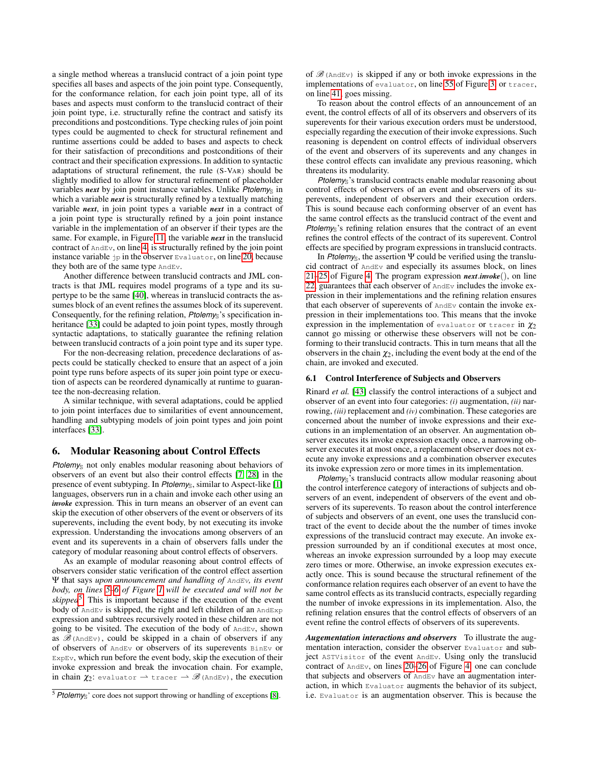a single method whereas a translucid contract of a join point type specifies all bases and aspects of the join point type. Consequently, for the conformance relation, for each join point type, all of its bases and aspects must conform to the translucid contract of their join point type, i.e. structurally refine the contract and satisfy its preconditions and postconditions. Type checking rules of join point types could be augmented to check for structural refinement and runtime assertions could be added to bases and aspects to check for their satisfaction of preconditions and postconditions of their contract and their specification expressions. In addition to syntactic adaptations of structural refinement, the rule (S-VAR) should be slightly modified to allow for structural refinement of placeholder variables *next* by join point instance variables. Unlike *Ptolemy*<sub>S</sub> in which a variable *next* is structurally refined by a textually matching variable *next*, in join point types a variable *next* in a contract of a join point type is structurally refined by a join point instance variable in the implementation of an observer if their types are the same. For example, in Figure [11,](#page-9-1) the variable *next* in the translucid contract of AndEv, on line [4,](#page-9-11) is structurally refined by the join point instance variable jp in the observer Evaluator, on line [20,](#page-9-6) because they both are of the same type AndEv.

Another difference between translucid contracts and JML contracts is that JML requires model programs of a type and its supertype to be the same [\[40\]](#page-12-32), whereas in translucid contracts the assumes block of an event refines the assumes block of its superevent. Consequently, for the refining relation, *Ptolemy*<sub>S</sub>'s specification inheritance [\[33\]](#page-12-26) could be adapted to join point types, mostly through syntactic adaptations, to statically guarantee the refining relation between translucid contracts of a join point type and its super type.

For the non-decreasing relation, precedence declarations of aspects could be statically checked to ensure that an aspect of a join point type runs before aspects of its super join point type or execution of aspects can be reordered dynamically at runtime to guarantee the non-decreasing relation.

A similar technique, with several adaptations, could be applied to join point interfaces due to similarities of event announcement, handling and subtyping models of join point types and join point interfaces [\[33\]](#page-12-26).

# <span id="page-10-0"></span>6. Modular Reasoning about Control Effects

*Ptolemy*<sub>S</sub> not only enables modular reasoning about behaviors of observers of an event but also their control effects [\[7,](#page-12-15) [28\]](#page-12-17) in the presence of event subtyping. In *Ptolemy*<sub>S</sub>, similar to Aspect-like [\[1\]](#page-12-0) languages, observers run in a chain and invoke each other using an *invoke* expression. This in turn means an observer of an event can skip the execution of other observers of the event or observers of its superevents, including the event body, by not executing its invoke expression. Understanding the invocations among observers of an event and its superevents in a chain of observers falls under the category of modular reasoning about control effects of observers.

As an example of modular reasoning about control effects of observers consider static verification of the control effect assertion Ψ that says *upon announcement and handling of* AndEv*, its event body, on lines [5–](#page-1-8)[6](#page-1-9) of Figure [1](#page-1-2) will be executed and will not be* skipped<sup>[5](#page-10-1)</sup>. This is important because if the execution of the event body of AndEv is skipped, the right and left children of an AndExp expression and subtrees recursively rooted in these children are not going to be visited. The execution of the body of AndEv, shown as  $\mathscr{B}$ (AndEv), could be skipped in a chain of observers if any of observers of AndEv or observers of its superevents BinEv or ExpEv, which run before the event body, skip the execution of their invoke expression and break the invocation chain. For example, in chain  $\chi_2$ : evaluator  $\to$  tracer  $\to$   $\mathscr{B}$ (AndEv), the execution of  $\mathscr{B}$ (AndEv) is skipped if any or both invoke expressions in the implementations of evaluator, on line [55](#page-2-5) of Figure [3,](#page-2-0) or tracer, on line [41,](#page-2-6) goes missing.

To reason about the control effects of an announcement of an event, the control effects of all of its observers and observers of its superevents for their various execution orders must be understood, especially regarding the execution of their invoke expressions. Such reasoning is dependent on control effects of individual observers of the event and observers of its superevents and any changes in these control effects can invalidate any previous reasoning, which threatens its modularity.

Ptolemy<sub>S</sub>'s translucid contracts enable modular reasoning about control effects of observers of an event and observers of its superevents, independent of observers and their execution orders. This is sound because each conforming observer of an event has the same control effects as the translucid contract of the event and *Ptolemy*<sub>S</sub>'s refining relation ensures that the contract of an event refines the control effects of the contract of its superevent. Control effects are specified by program expressions in translucid contracts.

In *Ptolemy*<sub>S</sub>, the assertion  $\Psi$  could be verified using the translucid contract of AndEv and especially its assumes block, on lines [21](#page-3-3)[–25](#page-3-4) of Figure [4.](#page-3-0) The program expression *next*.*invoke*(), on line [22,](#page-3-5) guarantees that each observer of AndEv includes the invoke expression in their implementations and the refining relation ensures that each observer of superevents of AndEv contain the invoke expression in their implementations too. This means that the invoke expression in the implementation of evaluator or tracer in  $\chi_2$ cannot go missing or otherwise these observers will not be conforming to their translucid contracts. This in turn means that all the observers in the chain  $\chi_2$ , including the event body at the end of the chain, are invoked and executed.

#### 6.1 Control Interference of Subjects and Observers

Rinard *et al.* [\[43\]](#page-12-34) classify the control interactions of a subject and observer of an event into four categories: *(i)* augmentation, *(ii)* narrowing, *(iii)* replacement and *(iv)* combination. These categories are concerned about the number of invoke expressions and their executions in an implementation of an observer. An augmentation observer executes its invoke expression exactly once, a narrowing observer executes it at most once, a replacement observer does not execute any invoke expressions and a combination observer executes its invoke expression zero or more times in its implementation.

*Ptolemy*<sub>S</sub>'s translucid contracts allow modular reasoning about the control interference category of interactions of subjects and observers of an event, independent of observers of the event and observers of its superevents. To reason about the control interference of subjects and observers of an event, one uses the translucid contract of the event to decide about the the number of times invoke expressions of the translucid contract may execute. An invoke expression surrounded by an if conditional executes at most once, whereas an invoke expression surrounded by a loop may execute zero times or more. Otherwise, an invoke expression executes exactly once. This is sound because the structural refinement of the conformance relation requires each observer of an event to have the same control effects as its translucid contracts, especially regarding the number of invoke expressions in its implementation. Also, the refining relation ensures that the control effects of observers of an event refine the control effects of observers of its superevents.

*Augementation interactions and observers* To illustrate the augmentation interaction, consider the observer Evaluator and subject ASTVisitor of the event AndEv. Using only the translucid contract of AndEv, on lines [20–](#page-3-1)[26](#page-3-2) of Figure [4,](#page-3-0) one can conclude that subjects and observers of AndEv have an augmentation interaction, in which Evaluator augments the behavior of its subject, i.e. Evaluator is an augmentation observer. This is because the

<span id="page-10-1"></span><sup>&</sup>lt;sup>5</sup> Ptolemy<sub>S</sub>' core does not support throwing or handling of exceptions [\[8\]](#page-12-19).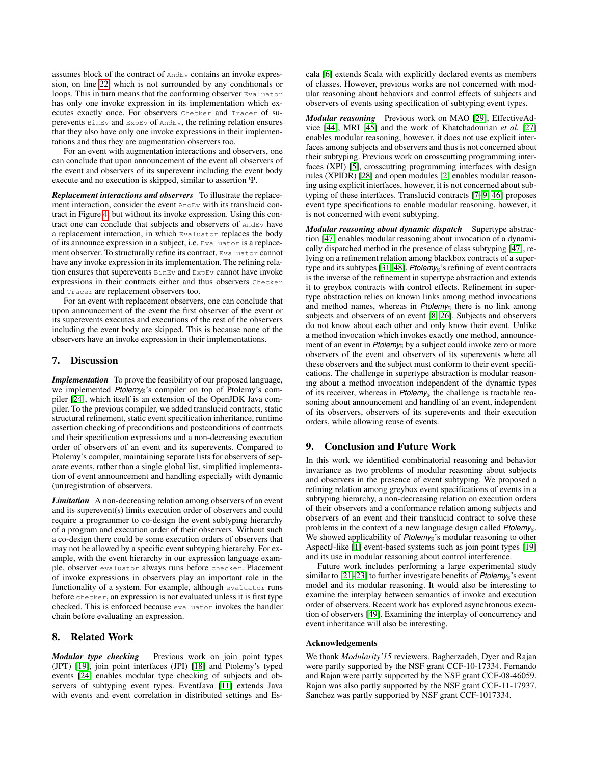assumes block of the contract of AndEv contains an invoke expression, on line [22,](#page-3-5) which is not surrounded by any conditionals or loops. This in turn means that the conforming observer Evaluator has only one invoke expression in its implementation which executes exactly once. For observers Checker and Tracer of superevents BinEv and ExpEv of AndEv, the refining relation ensures that they also have only one invoke expressions in their implementations and thus they are augmentation observers too.

For an event with augmentation interactions and observers, one can conclude that upon announcement of the event all observers of the event and observers of its superevent including the event body execute and no execution is skipped, similar to assertion Ψ.

*Replacement interactions and observers* To illustrate the replacement interaction, consider the event AndEv with its translucid contract in Figure [4,](#page-3-0) but without its invoke expression. Using this contract one can conclude that subjects and observers of AndEv have a replacement interaction, in which Evaluator replaces the body of its announce expression in a subject, i.e. Evaluator is a replacement observer. To structurally refine its contract, Evaluator cannot have any invoke expression in its implementation. The refining relation ensures that superevents BinEv and ExpEv cannot have invoke expressions in their contracts either and thus observers Checker and Tracer are replacement observers too.

For an event with replacement observers, one can conclude that upon announcement of the event the first observer of the event or its superevents executes and executions of the rest of the observers including the event body are skipped. This is because none of the observers have an invoke expression in their implementations.

# <span id="page-11-0"></span>7. Discussion

*Implementation* To prove the feasibility of our proposed language, we implemented *Ptolemy*<sub>s</sub>'s compiler on top of Ptolemy's compiler [\[24\]](#page-12-11), which itself is an extension of the OpenJDK Java compiler. To the previous compiler, we added translucid contracts, static structural refinement, static event specification inheritance, runtime assertion checking of preconditions and postconditions of contracts and their specification expressions and a non-decreasing execution order of observers of an event and its superevents. Compared to Ptolemy's compiler, maintaining separate lists for observers of separate events, rather than a single global list, simplified implementation of event announcement and handling especially with dynamic (un)registration of observers.

*Limitation* A non-decreasing relation among observers of an event and its superevent(s) limits execution order of observers and could require a programmer to co-design the event subtyping hierarchy of a program and execution order of their observers. Without such a co-design there could be some execution orders of observers that may not be allowed by a specific event subtyping hierarchy. For example, with the event hierarchy in our expression language example, observer evaluator always runs before checker. Placement of invoke expressions in observers play an important role in the functionality of a system. For example, although evaluator runs before checker, an expression is not evaluated unless it is first type checked. This is enforced because evaluator invokes the handler chain before evaluating an expression.

# <span id="page-11-1"></span>8. Related Work

*Modular type checking* Previous work on join point types (JPT) [\[19\]](#page-12-1), join point interfaces (JPI) [\[18\]](#page-12-4) and Ptolemy's typed events [\[24\]](#page-12-11) enables modular type checking of subjects and observers of subtyping event types. EventJava [\[11\]](#page-12-35) extends Java with events and event correlation in distributed settings and Escala [\[6\]](#page-12-36) extends Scala with explicitly declared events as members of classes. However, previous works are not concerned with modular reasoning about behaviors and control effects of subjects and observers of events using specification of subtyping event types.

*Modular reasoning* Previous work on MAO [\[29\]](#page-12-18), EffectiveAdvice [\[44\]](#page-12-37), MRI [\[45\]](#page-12-38) and the work of Khatchadourian *et al.* [\[27\]](#page-12-14) enables modular reasoning, however, it does not use explicit interfaces among subjects and observers and thus is not concerned about their subtyping. Previous work on crosscutting programming interfaces (XPI) [\[5\]](#page-12-7), crosscutting programming interfaces with design rules (XPIDR) [\[28\]](#page-12-17) and open modules [\[2\]](#page-12-6) enables modular reasoning using explicit interfaces, however, it is not concerned about subtyping of these interfaces. Translucid contracts [\[7](#page-12-15)[–9,](#page-12-16) [46\]](#page-12-39) proposes event type specifications to enable modular reasoning, however, it is not concerned with event subtyping.

*Modular reasoning about dynamic dispatch* Supertype abstraction [\[47\]](#page-12-40) enables modular reasoning about invocation of a dynamically dispatched method in the presence of class subtyping [\[47\]](#page-12-40), relying on a refinement relation among blackbox contracts of a super-type and its subtypes [\[31,](#page-12-23) [48\]](#page-12-41). *Ptolemy*<sub>S</sub>'s refining of event contracts is the inverse of the refinement in supertype abstraction and extends it to greybox contracts with control effects. Refinement in supertype abstraction relies on known links among method invocations and method names, whereas in *Ptolemy*<sub>S</sub> there is no link among subjects and observers of an event [\[8,](#page-12-19) [26\]](#page-12-13). Subjects and observers do not know about each other and only know their event. Unlike a method invocation which invokes exactly one method, announcement of an event in *Ptolemy*<sub>S</sub> by a subject could invoke zero or more observers of the event and observers of its superevents where all these observers and the subject must conform to their event specifications. The challenge in supertype abstraction is modular reasoning about a method invocation independent of the dynamic types of its receiver, whereas in *Ptolemy*<sub>S</sub> the challenge is tractable reasoning about announcement and handling of an event, independent of its observers, observers of its superevents and their execution orders, while allowing reuse of events.

# <span id="page-11-2"></span>9. Conclusion and Future Work

In this work we identified combinatorial reasoning and behavior invariance as two problems of modular reasoning about subjects and observers in the presence of event subtyping. We proposed a refining relation among greybox event specifications of events in a subtyping hierarchy, a non-decreasing relation on execution orders of their observers and a conformance relation among subjects and observers of an event and their translucid contract to solve these problems in the context of a new language design called *Ptolemys*. We showed applicability of *Ptolemy*<sub>S</sub>'s modular reasoning to other AspectJ-like [\[1\]](#page-12-0) event-based systems such as join point types [\[19\]](#page-12-1) and its use in modular reasoning about control interference.

Future work includes performing a large experimental study similar to  $[21-23]$  $[21-23]$  to further investigate benefits of *Ptolemy*<sub>S</sub>'s event model and its modular reasoning. It would also be interesting to examine the interplay between semantics of invoke and execution order of observers. Recent work has explored asynchronous execution of observers [\[49\]](#page-12-42). Examining the interplay of concurrency and event inheritance will also be interesting.

#### Acknowledgements

We thank *Modularity'15* reviewers. Bagherzadeh, Dyer and Rajan were partly supported by the NSF grant CCF-10-17334. Fernando and Rajan were partly supported by the NSF grant CCF-08-46059. Rajan was also partly supported by the NSF grant CCF-11-17937. Sanchez was partly supported by NSF grant CCF-1017334.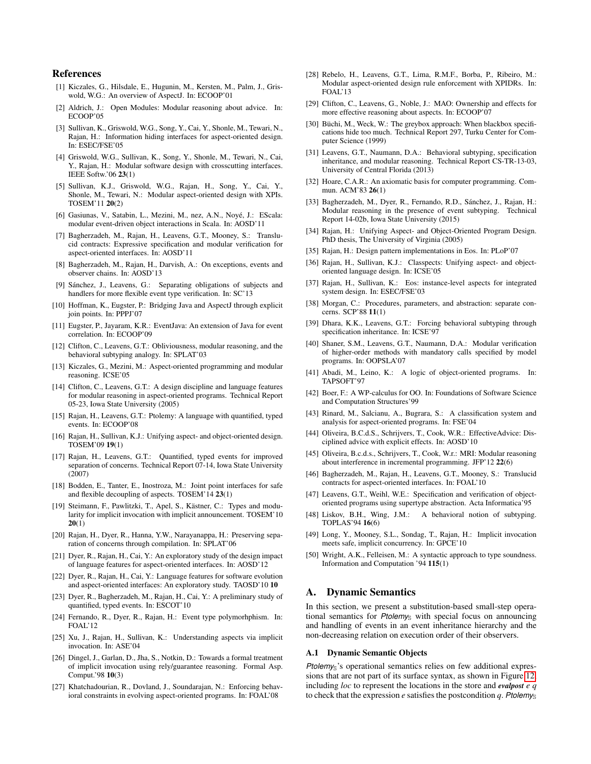# References

- <span id="page-12-0"></span>[1] Kiczales, G., Hilsdale, E., Hugunin, M., Kersten, M., Palm, J., Griswold, W.G.: An overview of AspectJ. In: ECOOP'01
- <span id="page-12-6"></span>[2] Aldrich, J.: Open Modules: Modular reasoning about advice. In: ECOOP'05
- [3] Sullivan, K., Griswold, W.G., Song, Y., Cai, Y., Shonle, M., Tewari, N., Rajan, H.: Information hiding interfaces for aspect-oriented design. In: ESEC/FSE'05
- [4] Griswold, W.G., Sullivan, K., Song, Y., Shonle, M., Tewari, N., Cai, Y., Rajan, H.: Modular software design with crosscutting interfaces. IEEE Softw.'06 23(1)
- <span id="page-12-7"></span>[5] Sullivan, K.J., Griswold, W.G., Rajan, H., Song, Y., Cai, Y., Shonle, M., Tewari, N.: Modular aspect-oriented design with XPIs. TOSEM'11 20(2)
- <span id="page-12-36"></span>[6] Gasiunas, V., Satabin, L., Mezini, M., nez, A.N., Noyé, J.: EScala: modular event-driven object interactions in Scala. In: AOSD'11
- <span id="page-12-15"></span>[7] Bagherzadeh, M., Rajan, H., Leavens, G.T., Mooney, S.: Translucid contracts: Expressive specification and modular verification for aspect-oriented interfaces. In: AOSD'11
- <span id="page-12-19"></span>[8] Bagherzadeh, M., Rajan, H., Darvish, A.: On exceptions, events and observer chains. In: AOSD'13
- <span id="page-12-16"></span>[9] Sánchez, J., Leavens, G.: Separating obligations of subjects and handlers for more flexible event type verification. In: SC'13
- <span id="page-12-2"></span>[10] Hoffman, K., Eugster, P.: Bridging Java and AspectJ through explicit join points. In: PPPJ'07
- <span id="page-12-35"></span>[11] Eugster, P., Jayaram, K.R.: EventJava: An extension of Java for event correlation. In: ECOOP'09
- <span id="page-12-20"></span>[12] Clifton, C., Leavens, G.T.: Obliviousness, modular reasoning, and the behavioral subtyping analogy. In: SPLAT'03
- <span id="page-12-21"></span>[13] Kiczales, G., Mezini, M.: Aspect-oriented programming and modular reasoning. ICSE'05
- <span id="page-12-8"></span>[14] Clifton, C., Leavens, G.T.: A design discipline and language features for modular reasoning in aspect-oriented programs. Technical Report 05-23, Iowa State University (2005)
- <span id="page-12-3"></span>[15] Rajan, H., Leavens, G.T.: Ptolemy: A language with quantified, typed events. In: ECOOP'08
- <span id="page-12-27"></span>[16] Rajan, H., Sullivan, K.J.: Unifying aspect- and object-oriented design. TOSEM'09 19(1)
- [17] Rajan, H., Leavens, G.T.: Quantified, typed events for improved separation of concerns. Technical Report 07-14, Iowa State University (2007)
- <span id="page-12-4"></span>[18] Bodden, E., Tanter, E., Inostroza, M.: Joint point interfaces for safe and flexible decoupling of aspects. TOSEM'14 23(1)
- <span id="page-12-1"></span>[19] Steimann, F., Pawlitzki, T., Apel, S., Kästner, C.: Types and modularity for implicit invocation with implicit announcement. TOSEM'10  $20(1)$
- <span id="page-12-5"></span>[20] Rajan, H., Dyer, R., Hanna, Y.W., Narayanappa, H.: Preserving separation of concerns through compilation. In: SPLAT'06
- <span id="page-12-9"></span>[21] Dyer, R., Rajan, H., Cai, Y.: An exploratory study of the design impact of language features for aspect-oriented interfaces. In: AOSD'12
- [22] Dyer, R., Rajan, H., Cai, Y.: Language features for software evolution and aspect-oriented interfaces: An exploratory study. TAOSD'10 10
- <span id="page-12-10"></span>[23] Dyer, R., Bagherzadeh, M., Rajan, H., Cai, Y.: A preliminary study of quantified, typed events. In: ESCOT'10
- <span id="page-12-11"></span>[24] Fernando, R., Dyer, R., Rajan, H.: Event type polymorhphism. In: FOAL'12
- <span id="page-12-12"></span>[25] Xu, J., Rajan, H., Sullivan, K.: Understanding aspects via implicit invocation. In: ASE'04
- <span id="page-12-13"></span>[26] Dingel, J., Garlan, D., Jha, S., Notkin, D.: Towards a formal treatment of implicit invocation using rely/guarantee reasoning. Formal Asp. Comput.'98 10(3)
- <span id="page-12-14"></span>[27] Khatchadourian, R., Dovland, J., Soundarajan, N.: Enforcing behavioral constraints in evolving aspect-oriented programs. In: FOAL'08
- <span id="page-12-17"></span>[28] Rebelo, H., Leavens, G.T., Lima, R.M.F., Borba, P., Ribeiro, M.: Modular aspect-oriented design rule enforcement with XPIDRs. In: FOAL'13
- <span id="page-12-18"></span>[29] Clifton, C., Leavens, G., Noble, J.: MAO: Ownership and effects for more effective reasoning about aspects. In: ECOOP'07
- <span id="page-12-22"></span>[30] Büchi, M., Weck, W.: The greybox approach: When blackbox specifications hide too much. Technical Report 297, Turku Center for Computer Science (1999)
- <span id="page-12-23"></span>[31] Leavens, G.T., Naumann, D.A.: Behavioral subtyping, specification inheritance, and modular reasoning. Technical Report CS-TR-13-03, University of Central Florida (2013)
- <span id="page-12-24"></span>[32] Hoare, C.A.R.: An axiomatic basis for computer programming. Commun. ACM'83 26(1)
- <span id="page-12-26"></span>[33] Bagherzadeh, M., Dyer, R., Fernando, R.D., Sánchez, J., Rajan, H.: Modular reasoning in the presence of event subtyping. Technical Report 14-02b, Iowa State University (2015)
- <span id="page-12-28"></span>[34] Rajan, H.: Unifying Aspect- and Object-Oriented Program Design. PhD thesis, The University of Virginia (2005)
- [35] Rajan, H.: Design pattern implementations in Eos. In: PLoP'07
- [36] Rajan, H., Sullivan, K.J.: Classpects: Unifying aspect- and objectoriented language design. In: ICSE'05
- <span id="page-12-29"></span>[37] Rajan, H., Sullivan, K.: Eos: instance-level aspects for integrated system design. In: ESEC/FSE'03
- <span id="page-12-30"></span>[38] Morgan, C.: Procedures, parameters, and abstraction: separate concerns. SCP'88 11(1)
- <span id="page-12-31"></span>[39] Dhara, K.K., Leavens, G.T.: Forcing behavioral subtyping through specification inheritance. In: ICSE'97
- <span id="page-12-32"></span>[40] Shaner, S.M., Leavens, G.T., Naumann, D.A.: Modular verification of higher-order methods with mandatory calls specified by model programs. In: OOPSLA'07
- [41] Abadi, M., Leino, K.: A logic of object-oriented programs. In: TAPSOFT'97
- <span id="page-12-33"></span>[42] Boer, F.: A WP-calculus for OO. In: Foundations of Software Science and Computation Structures'99
- <span id="page-12-34"></span>[43] Rinard, M., Salcianu, A., Bugrara, S.: A classification system and analysis for aspect-oriented programs. In: FSE'04
- <span id="page-12-37"></span>[44] Oliveira, B.C.d.S., Schrijvers, T., Cook, W.R.: EffectiveAdvice: Disciplined advice with explicit effects. In: AOSD'10
- <span id="page-12-38"></span>[45] Oliveira, B.c.d.s., Schrijvers, T., Cook, W.r.: MRI: Modular reasoning about interference in incremental programming. JFP'12 22(6)
- <span id="page-12-39"></span>[46] Bagherzadeh, M., Rajan, H., Leavens, G.T., Mooney, S.: Translucid contracts for aspect-oriented interfaces. In: FOAL'10
- <span id="page-12-40"></span>[47] Leavens, G.T., Weihl, W.E.: Specification and verification of objectoriented programs using supertype abstraction. Acta Informatica'95
- <span id="page-12-41"></span>[48] Liskov, B.H., Wing, J.M.: A behavioral notion of subtyping. TOPLAS'94 16(6)
- <span id="page-12-42"></span>[49] Long, Y., Mooney, S.L., Sondag, T., Rajan, H.: Implicit invocation meets safe, implicit concurrency. In: GPCE'10
- <span id="page-12-43"></span>[50] Wright, A.K., Felleisen, M.: A syntactic approach to type soundness. Information and Computation '94 115(1)

# <span id="page-12-25"></span>A. Dynamic Semantics

In this section, we present a substitution-based small-step operational semantics for *Ptolemy*<sub>S</sub> with special focus on announcing and handling of events in an event inheritance hierarchy and the non-decreasing relation on execution order of their observers.

## A.1 Dynamic Semantic Objects

*Ptolemy*<sub>S</sub>'s operational semantics relies on few additional expressions that are not part of its surface syntax, as shown in Figure [12,](#page-13-0) including *loc* to represent the locations in the store and *evalpost e q* to check that the expression  $e$  satisfies the postcondition  $q$ . Ptolemy<sub>S</sub>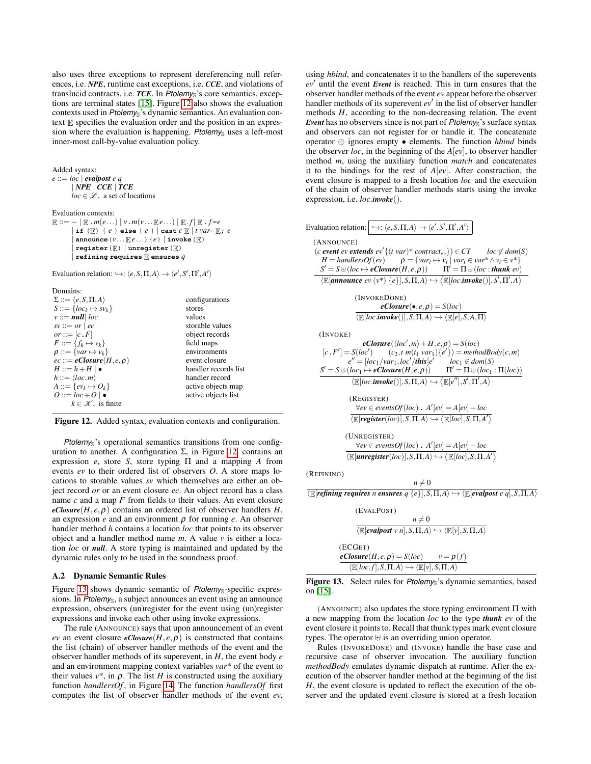also uses three exceptions to represent dereferencing null references, i.e. *NPE*, runtime cast exceptions, i.e. *CCE*, and violations of translucid contracts, i.e. *TCE*. In *Ptolemy*<sub>S</sub>'s core semantics, exceptions are terminal states [\[15\]](#page-12-3). Figure [12](#page-13-0) also shows the evaluation contexts used in *Ptolemy*<sub>S</sub>'s dynamic semantics. An evaluation context  $E$  specifies the evaluation order and the position in an expression where the evaluation is happening. *Ptolemy*<sub>S</sub> uses a left-most inner-most call-by-value evaluation policy.

| Added syntax:<br>$e ::= loc \mid evalpost \in q$<br>$\vert$ NPE $\vert$ CCE $\vert$ TCE<br>$loc \in \mathcal{L}$ , a set of locations |                 |
|---------------------------------------------------------------------------------------------------------------------------------------|-----------------|
| Evaluation contexts:                                                                                                                  |                 |
| $\mathbb{E} ::= -   \mathbb{E} . m(e)   v.m(v \mathbb{E} e)   \mathbb{E} . f   \mathbb{E} . f = e$                                    |                 |
| if $(\mathbb{E})$ { $e$ } else { $e$ }   cast $c \mathbb{E}$   $t \text{ var} = \mathbb{E}$ ; $e$                                     |                 |
| announce $(v \dots \mathbb{E} e \dots) \{e\}$ invoke $(\mathbb{E})$                                                                   |                 |
| $\mid$ register ( $\mathbb{E}$ ) $\mid$ unregister ( $\mathbb{E}$ )                                                                   |                 |
| $ $ refining requires $\mathbb E$ ensures $q$                                                                                         |                 |
| Evaluation relation: $\hookrightarrow$ : $\langle e, S, \Pi, A \rangle \rightarrow \langle e', S', \Pi', A' \rangle$                  |                 |
| Domains:                                                                                                                              |                 |
| $\Sigma ::= \langle e, S, \Pi, A \rangle$                                                                                             | configurations  |
| $S ::= \{loc_k \mapsto sv_k\}$                                                                                                        | stores          |
| $v ::= null \,   \, loc$                                                                                                              | values          |
| $sv ::= or   ec$                                                                                                                      | storable values |
| or ::= $[c \cdot F]$                                                                                                                  | object records  |
| $E \cdots$ $\uparrow$ $\uparrow$ $\uparrow$ $\cdots$ $\uparrow$                                                                       | field mana      |

| $F ::= \{f_k \mapsto v_k\}$     | field maps           |
|---------------------------------|----------------------|
| $\rho ::= \{var \mapsto v_k\}$  | environments         |
| $ec ::= eClosure(H, e, \rho)$   | event closure        |
| $H ::= h + H   \bullet$         | handler records list |
| $h ::= \langle loc, m \rangle$  | handler record       |
| $A ::= \{ev_k \mapsto O_k\}$    | active objects map   |
| $Q ::= loc + Q \cdot \bullet$   | active objects list  |
| $k \in \mathcal{K}$ , is finite |                      |

|  | Figure 12. Added syntax, evaluation contexts and configuration. |  |
|--|-----------------------------------------------------------------|--|
|  |                                                                 |  |

*Ptolemy*<sub>S</sub>'s operational semantics transitions from one config-uration to another. A configuration Σ, in Figure [12,](#page-13-0) contains an expression *e*, store *S*, store typing Π and a mapping *A* from events *ev* to their ordered list of observers *O*. A store maps locations to storable values *sv* which themselves are either an object record *or* or an event closure *ec*. An object record has a class name *c* and a map *F* from fields to their values. An event closure  $e\text{Closure}(H, e, \rho)$  contains an ordered list of observer handlers *H*, an expression *e* and an environment ρ for running *e*. An observer handler method *h* contains a location *loc* that points to its observer object and a handler method name *m*. A value *v* is either a location *loc* or *null*. A store typing is maintained and updated by the dynamic rules only to be used in the soundness proof.

#### A.2 Dynamic Semantic Rules

Figure [13](#page-13-1) shows dynamic semantic of *Ptolemy*<sub>S</sub>-specific expressions. In *Ptolemy*<sub>S</sub>, a subject announces an event using an announce expression, observers (un)register for the event using (un)register expressions and invoke each other using invoke expressions.

The rule (ANNOUNCE) says that upon announcement of an event *ev* an event closure  $eC \text{losure}(H, e, \rho)$  is constructed that contains the list (chain) of observer handler methods of the event and the observer handler methods of its superevent, in *H*, the event body *e* and an environment mapping context variables *var*\* of the event to their values  $v^*$ , in  $\rho$ . The list *H* is constructed using the auxiliary function *handlersOf* , in Figure [14.](#page-14-1) The function *handlersOf* first computes the list of observer handler methods of the event *ev*, using *hbind*, and concatenates it to the handlers of the superevents  $ev'$  until the event *Event* is reached. This in turn ensures that the observer handler methods of the event *ev* appear before the observer handler methods of its superevent  $ev'$  in the list of observer handler methods *H*, according to the non-decreasing relation. The event *Event* has no observers since is not part of *Ptolemy*<sub>S</sub>'s surface syntax and observers can not register for or handle it. The concatenate operator ⊕ ignores empty • elements. The function *hbind* binds the observer *loc*, in the beginning of the *A*[*ev*], to observer handler method *m*, using the auxiliary function *match* and concatenates it to the bindings for the rest of *A*[*ev*]. After construction, the event closure is mapped to a fresh location *loc* and the execution of the chain of observer handler methods starts using the invoke expression, i.e. *loc*.*invoke*().

<span id="page-13-0"></span>

| Evaluation relation: $\ket{\leftrightarrow:\langle e, S, \Pi, A \rangle \rightarrow \langle e', S', \Pi', A' \rangle}$                                                                                                                                                                                                                                                                                                                                              |
|---------------------------------------------------------------------------------------------------------------------------------------------------------------------------------------------------------------------------------------------------------------------------------------------------------------------------------------------------------------------------------------------------------------------------------------------------------------------|
| (ANNOUNCE)<br>$(c$ event ev extends $ev'\{(t \text{ var})^* \text{ contract}_{ev}\}) \in CT$ $loc \notin dom(S)$<br>$H =$ handlers $Of(ev)$ $\rho = \{ var_i \mapsto v_i \mid var_i \in var^* \land v_i \in v^* \}$<br>$S' = S \oplus (loc \rightarrow e \text{Closure}(H,e,\rho))$ $\Pi' = \Pi \oplus (loc : \text{thunk } ev)$                                                                                                                                    |
| $\langle \mathbb{E}[\text{announce}\;ev\; (v^*)\; \{e\}], S, \Pi, A \rangle \hookrightarrow \langle \mathbb{E}[\text{loc.invoke}(), S', \Pi', A \rangle]$                                                                                                                                                                                                                                                                                                           |
| (INVOKEDONE)<br>$eClosure(\bullet, e, \rho) = S(loc)$<br>$\overline{\langle \mathop{\mathbb{E}}[loc.\mathop{\it invoke}(\mathop{\mathbb{I}}], S, \Pi, A \rangle} \hookrightarrow \langle \mathop{\mathbb{E}}[e], S, A, \Pi \rangle$                                                                                                                                                                                                                                 |
| (INVOKE)                                                                                                                                                                                                                                                                                                                                                                                                                                                            |
| $eClosure(\langle loc', m \rangle + H, e, \rho) = S(loc)$<br>$[c \cdot F'] = S(loc')$ $(c_2, t \, m(t_1 \, var_1) \{e'\}) = methodBody(c, m)$<br>$S' = S \uplus (loc_1 / var_1, loc' / this)e'$<br>$S' = S \uplus (loc_1 \mapsto e \text{Closure}(H, e, \rho))$<br>$\Pi' = \Pi \uplus (loc_1 : \Pi(loc))$<br>$\langle \mathop{\mathbb{E}}[loc.\mathop{\mathit{invoke}}()], S, \Pi, A \rangle \hookrightarrow \langle \mathop{\mathbb{E}}[e''], S', \Pi', A \rangle$ |
| (REGISTER)                                                                                                                                                                                                                                                                                                                                                                                                                                                          |
| $\forall ev \in eventsOf(loc)$ . $A'[ev] = A[ev] + loc$                                                                                                                                                                                                                                                                                                                                                                                                             |
| $\langle \mathop{\mathbb{E}}[\textit{register}(loc)], S, \Pi, A \rangle \hookrightarrow \langle \mathop{\mathbb{E}}[loc], S, \Pi, A' \rangle$                                                                                                                                                                                                                                                                                                                       |
| (UNREGISTER)<br>$\forall ev \in eventsOf(loc)$ . $A'[ev] = A[ev] - loc$<br>$\langle \mathop{\mathbb{E}}[\textit{unregister}(loc)], S, \Pi, A \rangle \hookrightarrow \langle \mathop{\mathbb{E}}[\textit{loc}], S, \Pi, A' \rangle$                                                                                                                                                                                                                                 |
| (REFINING)                                                                                                                                                                                                                                                                                                                                                                                                                                                          |
| $n \neq 0$                                                                                                                                                                                                                                                                                                                                                                                                                                                          |
| $\overline{\langle \mathbb{E}[\text{refining requires } n \text{ ensures } q \{e\} ], S, \Pi, A \rangle} \hookrightarrow \langle \mathbb{E}[\text{evalpost } e \text{ } q], S, \Pi, A \rangle$                                                                                                                                                                                                                                                                      |
| (EVALPOST)<br>$n \neq 0$                                                                                                                                                                                                                                                                                                                                                                                                                                            |
| $\overline{\langle \mathbb{E}[evalpost\ v\ n], S,\Pi,A\rangle} \hookrightarrow \langle \mathbb{E}[v],S,\Pi,A\rangle$                                                                                                                                                                                                                                                                                                                                                |
| (ECGET)                                                                                                                                                                                                                                                                                                                                                                                                                                                             |

$$
\underbrace{eClosure(H, e, \rho) = S(loc)}_{\langle \mathbb{E}[loc. f], S, \Pi, A \rangle \hookrightarrow \langle \mathbb{E}[v], S, \Pi, A \rangle}
$$

<span id="page-13-1"></span>Figure 13. Select rules for *Ptolemy*<sub>S</sub>'s dynamic semantics, based on [\[15\]](#page-12-3).

(ANNOUNCE) also updates the store typing environment  $\Pi$  with a new mapping from the location *loc* to the type *thunk ev* of the event closure it points to. Recall that thunk types mark event closure types. The operator  $\uplus$  is an overriding union operator.

Rules (INVOKEDONE) and (INVOKE) handle the base case and recursive case of observer invocation. The auxiliary function *methodBody* emulates dynamic dispatch at runtime. After the execution of the observer handler method at the beginning of the list *H*, the event closure is updated to reflect the execution of the observer and the updated event closure is stored at a fresh location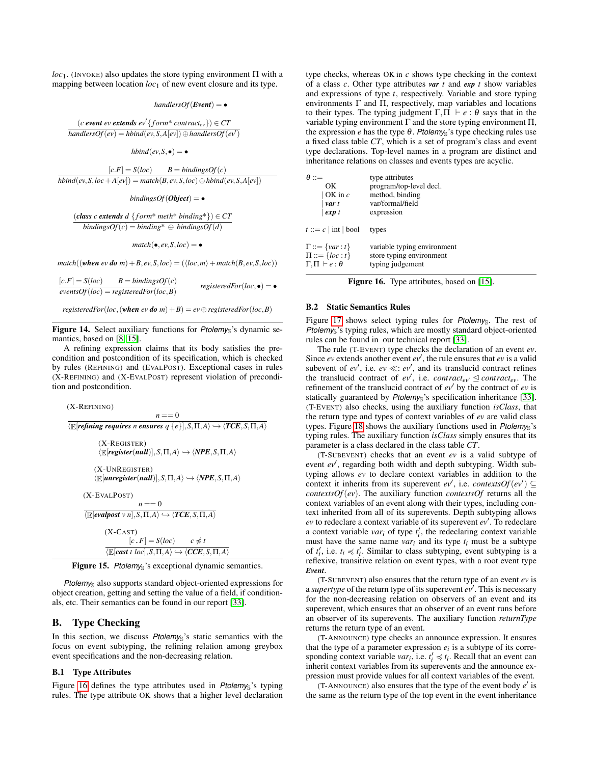$loc_1$ . (INVOKE) also updates the store typing environment  $\Pi$  with a mapping between location  $loc_1$  of new event closure and its type.

 $handlersOf(\textit{Event}) = \bullet$ 

 $(c$  *event ev* **extends**  $ev^{\prime}\lbrace form^*$   $contract_{ev}\rbrace \in CT$  $h$ andlers $Of(ev) = h$ *bind*( $ev$ ,  $S$ ,  $A[ev]$ ) ⊕  $h$ andlers $Of(ev')$ 

*hbind*( $ev, S, \bullet$ ) =  $\bullet$ 

 $[c.F] = S(loc)$   $B = bindingsOf(c)$  $\overline{hbind(ev, S, loc + A[ev])} = match(B, ev, S, loc) \oplus hbind(ev, S, A[ev])$ 

 $bindingsOf(Object) = \bullet$ 

 $(class c extends d {form* meth* binding*} \in CT$  $\overline{bindingsOf(c)} = \overline{binding* \oplus \overline{bindingsOf(d)}}$ 

 $match(\bullet, ev, S, loc) = \bullet$ 

 $match((when ev do m) + B, ev, S, loc) = (\langle loc, m \rangle + match(B, ev, S, loc))$ 

 $[c.F] = S(loc)$   $B = bindingS(f(c)$  $\overline{eventsOf(loc)}$  = *registeredFor*(*loc*,*B*)  $registeredFor(loc, \bullet) = \bullet$ 

*registeredFor*(*loc*, (*when ev do m*) + *B*) = *ev*  $\oplus$  *registeredFor*(*loc*, *B*)

<span id="page-14-1"></span>Figure 14. Select auxiliary functions for *Ptolemy*<sub>S</sub>'s dynamic semantics, based on [\[8,](#page-12-19) [15\]](#page-12-3).

A refining expression claims that its body satisfies the precondition and postcondition of its specification, which is checked by rules (REFINING) and (EVALPOST). Exceptional cases in rules (X-REFINING) and (X-EVALPOST) represent violation of precondition and postcondition.

| $(X$ -REFINING)                                                                                                                                  |
|--------------------------------------------------------------------------------------------------------------------------------------------------|
| $n == 0$                                                                                                                                         |
| $\langle \mathbb{E}[\text{refining requires } n \text{ ensures } q \{e\}  , S, \Pi, A \rangle \rightarrow \langle \text{TCE}, S, \Pi, A \rangle$ |
| $(X$ -Register)                                                                                                                                  |
| $\langle \mathbb{E}[\text{register}(null)], S, \Pi, A \rangle \hookrightarrow \langle \text{NPE}, S, \Pi, A \rangle$                             |
| $(X$ -UNREGISTER)                                                                                                                                |
| $\langle \mathbb{E}[\textit{unregister}(\textit{null})], S, \Pi, A \rangle \hookrightarrow \langle \textit{NPE}, S, \Pi, A \rangle$              |
| $(X$ -EVALPOST)                                                                                                                                  |
| $n == 0$                                                                                                                                         |
| $\langle \mathbb{E}[\text{evalpost } v \text{ } n], S, \Pi, A \rangle \hookrightarrow \langle \text{TCE}, S, \Pi, A \rangle$                     |
| $(X-CAST)$                                                                                                                                       |
| $[c \cdot F] = S(loc) \qquad c \nless t$                                                                                                         |
| $\langle \mathbb{E}[cast \ t \ loc], S, \Pi, A \rangle \hookrightarrow \langle CCE, S, \Pi, A \rangle$                                           |
| <b>Figure 15.</b> Ptolemy <sub>s</sub> 's exceptional dynamic semantics.                                                                         |

Ptolemy<sub>S</sub> also supports standard object-oriented expressions for object creation, getting and setting the value of a field, if conditionals, etc. Their semantics can be found in our report [\[33\]](#page-12-26).

# <span id="page-14-0"></span>B. Type Checking

In this section, we discuss *Ptolemy*<sub>S</sub>'s static semantics with the focus on event subtyping, the refining relation among greybox event specifications and the non-decreasing relation.

# B.1 Type Attributes

Figure [16](#page-14-2) defines the type attributes used in *Ptolemy*<sub>S</sub>'s typing rules. The type attribute OK shows that a higher level declaration type checks, whereas OK in *c* shows type checking in the context of a class *c*. Other type attributes *var t* and *exp t* show variables and expressions of type *t*, respectively. Variable and store typing environments  $\Gamma$  and  $\Pi$ , respectively, map variables and locations to their types. The typing judgment  $\Gamma, \Pi \vdash e : \theta$  says that in the variable typing environment  $\Gamma$  and the store typing environment  $\Pi$ , the expression  $e$  has the type  $\theta$ . *Ptolemy*<sub>S</sub>'s type checking rules use a fixed class table *CT*, which is a set of program's class and event type declarations. Top-level names in a program are distinct and inheritance relations on classes and events types are acyclic.

| $\theta$ $\cdot\cdot$ $=$<br>OК<br>OK in $c$<br>$\frac{var}{exp}$ t              | type attributes<br>program/top-level decl.<br>method, binding<br>var/formal/field<br>expression |
|----------------------------------------------------------------------------------|-------------------------------------------------------------------------------------------------|
| $t ::= c   \text{int}   \text{bool}$                                             | types                                                                                           |
| $\Gamma ::= \{var : t\}$<br>$\Pi ::= \{loc : t\}$<br>$\Gamma,\Pi\vdash e:\theta$ | variable typing environment<br>store typing environment<br>typing judgement                     |

<span id="page-14-2"></span>Figure 16. Type attributes, based on [\[15\]](#page-12-3).

#### B.2 Static Semantics Rules

Figure [17](#page-15-0) shows select typing rules for *Ptolemy*<sub>S</sub>. The rest of *Ptolemy*<sub>S</sub>'s typing rules, which are mostly standard object-oriented rules can be found in our technical report [\[33\]](#page-12-26).

The rule (T-EVENT) type checks the declaration of an event *ev*. Since  $ev$  extends another event  $ev'$ , the rule ensures that  $ev$  is a valid subevent of  $ev'$ , i.e.  $ev \ll : ev'$ , and its translucid contract refines the translucid contract of *ev*<sup> $\prime$ </sup>, i.e. *contract<sub>ev</sub>* $\leq$  *contract<sub>ev</sub>*. The refinement of the translucid contract of  $ev'$  by the contract of  $ev$  is statically guaranteed by *Ptolemy*<sub>S</sub>'s specification inheritance [\[33\]](#page-12-26). (T-EVENT) also checks, using the auxiliary function *isClass*, that the return type and types of context variables of *ev* are valid class types. Figure [18](#page-15-1) shows the auxiliary functions used in *Ptolemy*<sub>S</sub>'s typing rules. The auxiliary function *isClass* simply ensures that its parameter is a class declared in the class table *CT*.

(T-SUBEVENT) checks that an event *ev* is a valid subtype of event ev', regarding both width and depth subtyping. Width subtyping allows *ev* to declare context variables in addition to the context it inherits from its superevent  $ev'$ , i.e. *contextsOf*( $ev'$ )  $\subseteq$ *contextsOf*(*ev*). The auxiliary function *contextsOf* returns all the context variables of an event along with their types, including context inherited from all of its superevents. Depth subtyping allows ev to redeclare a context variable of its superevent *ev*<sup>'</sup>. To redeclare a context variable *var<sub>i</sub>* of type  $t_i'$ , the redeclaring context variable must have the same name  $var_i$  and its type  $t_i$  must be a subtype of  $t'_i$ , i.e.  $t_i \preccurlyeq t'_i$ . Similar to class subtyping, event subtyping is a reflexive, transitive relation on event types, with a root event type *Event*.

(T-SUBEVENT) also ensures that the return type of an event *ev* is a *supertype* of the return type of its superevent  $ev'$ . This is necessary for the non-decreasing relation on observers of an event and its superevent, which ensures that an observer of an event runs before an observer of its superevents. The auxiliary function *returnType* returns the return type of an event.

(T-ANNOUNCE) type checks an announce expression. It ensures that the type of a parameter expression  $e_i$  is a subtype of its corresponding context variable *var<sub>i</sub>*, i.e.  $t'_i \preccurlyeq t_i$ . Recall that an event can inherit context variables from its superevents and the announce expression must provide values for all context variables of the event.

(T-ANNOUNCE) also ensures that the type of the event body  $e'$  is the same as the return type of the top event in the event inheritance